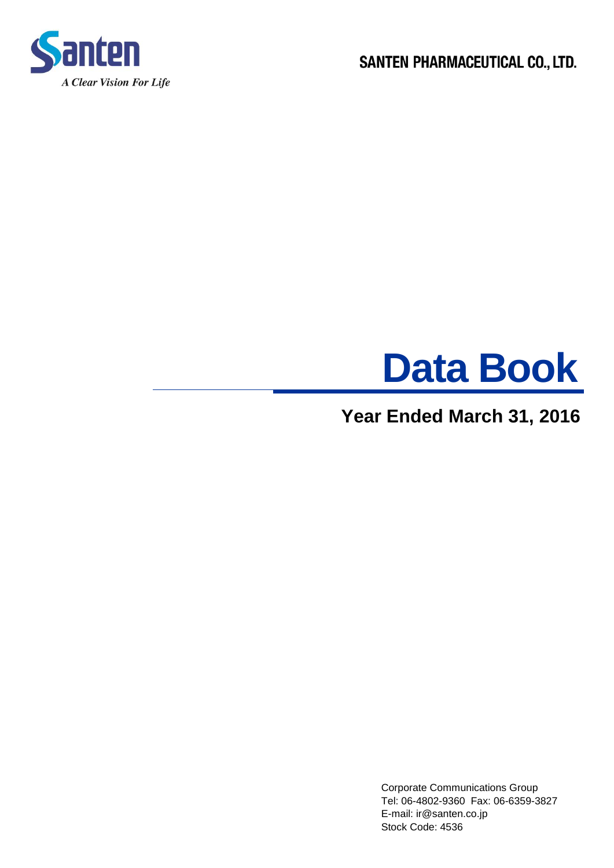

SANTEN PHARMACEUTICAL CO., LTD.



# **Year Ended March 31, 2016**

 Corporate Communications Group Tel: 06-4802-9360 Fax: 06-6359-3827 E-mail: ir@santen.co.jp Stock Code: 4536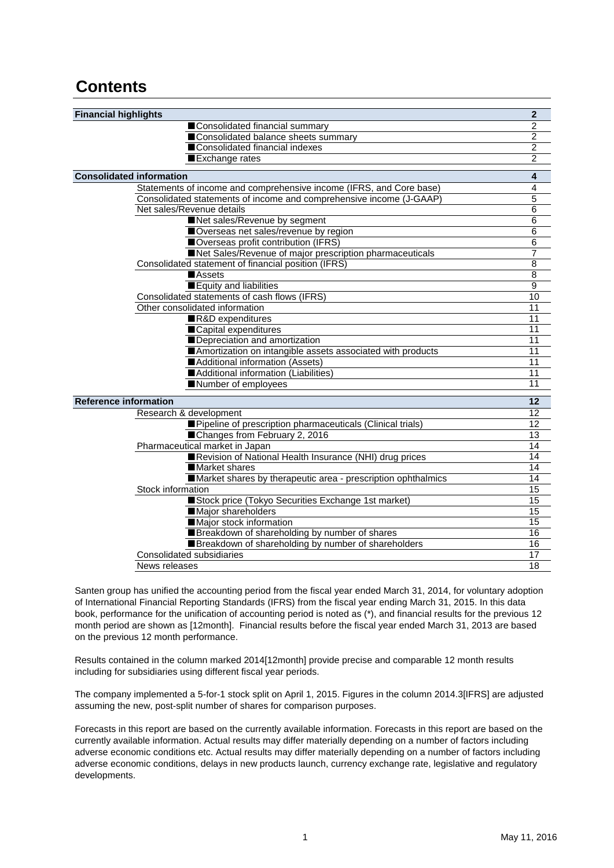# **Contents**

| <b>Financial highlights</b>                                         | $\mathbf{2}$   |
|---------------------------------------------------------------------|----------------|
| Consolidated financial summary                                      | 2              |
| Consolidated balance sheets summary                                 | $\overline{2}$ |
| ■Consolidated financial indexes                                     | $\overline{2}$ |
| Exchange rates                                                      | $\overline{2}$ |
| <b>Consolidated information</b>                                     | 4              |
| Statements of income and comprehensive income (IFRS, and Core base) | $\overline{4}$ |
| Consolidated statements of income and comprehensive income (J-GAAP) | $\overline{5}$ |
| Net sales/Revenue details                                           | $\,6$          |
| Net sales/Revenue by segment                                        | $\,6$          |
| Overseas net sales/revenue by region                                | 6              |
| Overseas profit contribution (IFRS)                                 | $\overline{6}$ |
| Net Sales/Revenue of major prescription pharmaceuticals             | 7              |
| Consolidated statement of financial position (IFRS)                 | $\overline{8}$ |
| <b>Assets</b>                                                       | $\overline{8}$ |
| Equity and liabilities                                              | $\overline{9}$ |
| Consolidated statements of cash flows (IFRS)                        | 10             |
| Other consolidated information                                      | 11             |
| R&D expenditures                                                    | 11             |
| ■Capital expenditures                                               | 11             |
| Depreciation and amortization                                       | 11             |
| Amortization on intangible assets associated with products          | 11             |
| Additional information (Assets)                                     | 11             |
| Additional information (Liabilities)                                | 11             |
| Number of employees                                                 | 11             |
| <b>Reference information</b>                                        | 12             |
| Research & development                                              | 12             |
| Pipeline of prescription pharmaceuticals (Clinical trials)          | 12             |
| Changes from February 2, 2016                                       | 13             |
| Pharmaceutical market in Japan                                      | 14             |
| Revision of National Health Insurance (NHI) drug prices             | 14             |
| ■ Market shares                                                     | 14             |
| Market shares by therapeutic area - prescription ophthalmics        | 14             |
| Stock information                                                   | 15             |
| Stock price (Tokyo Securities Exchange 1st market)                  | 15             |
| Major shareholders                                                  | 15             |
| Major stock information                                             | 15             |
| Breakdown of shareholding by number of shares                       | 16             |
| Breakdown of shareholding by number of shareholders                 | 16             |
| <b>Consolidated subsidiaries</b>                                    | 17             |
| News releases                                                       | 18             |

Santen group has unified the accounting period from the fiscal year ended March 31, 2014, for voluntary adoption of International Financial Reporting Standards (IFRS) from the fiscal year ending March 31, 2015. In this data book, performance for the unification of accounting period is noted as (\*), and financial results for the previous 12 month period are shown as [12month]. Financial results before the fiscal year ended March 31, 2013 are based on the previous 12 month performance.

Results contained in the column marked 2014[12month] provide precise and comparable 12 month results including for subsidiaries using different fiscal year periods.

The company implemented a 5-for-1 stock split on April 1, 2015. Figures in the column 2014.3[IFRS] are adjusted assuming the new, post-split number of shares for comparison purposes.

Forecasts in this report are based on the currently available information. Forecasts in this report are based on the currently available information. Actual results may differ materially depending on a number of factors including adverse economic conditions etc. Actual results may differ materially depending on a number of factors including adverse economic conditions, delays in new products launch, currency exchange rate, legislative and regulatory developments.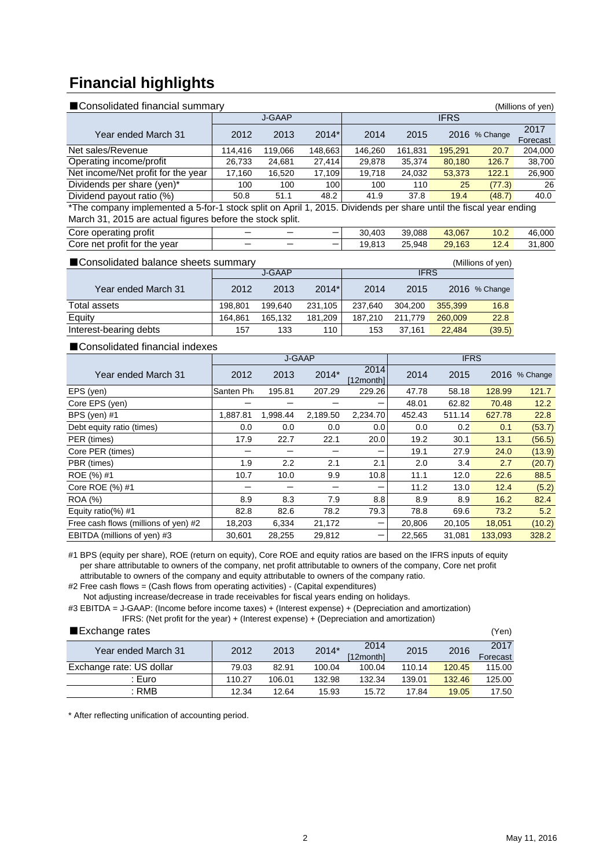# **Financial highlights**

| ■ Consolidated financial summary   |                      |                    |         |         |         | (Millions of yen) |               |                  |
|------------------------------------|----------------------|--------------------|---------|---------|---------|-------------------|---------------|------------------|
|                                    | J-GAAP               |                    |         |         |         |                   |               |                  |
| Year ended March 31                | 2012                 | 2013               | $2014*$ | 2014    | 2015    |                   | 2016 % Change | 2017<br>Forecast |
| Net sales/Revenue                  | 114.416              | 119.066            | 148,663 | 146.260 | 161.831 | 195.291           | 20.7          | 204,000          |
| Operating income/profit            | 26.733               | 24,681             | 27.414  | 29.878  | 35.374  | 80,180            | 126.7         | 38,700           |
| Net income/Net profit for the year | 17,160               | 16,520             | 17,109  | 19.718  | 24,032  | 53,373            | 122.1         | 26,900           |
| Dividends per share (yen)*         | 100                  | 100                | 100     | 100     | 110     | 25                | (77.3)        | 26               |
| Dividend payout ratio (%)          | 50.8                 | 51.1               | 48.2    | 41.9    | 37.8    | 19.4              | (48.7)        | 40.0             |
| $+ - +$<br>- -<br>.                | $\sim$ $\sim$ $\sim$ | .<br>$\sim$ $\sim$ |         |         |         | $\mathbf{r}$      |               |                  |

\*The company implemented a 5-for-1 stock split on April 1, 2015. Dividends per share until the fiscal year ending March 31, 2015 are actual figures before the stock split.

| profit<br>Core<br>operating                         | - | _ | .403<br>30 | 39.088     | 43,067      | 10.2              | 46.000           |
|-----------------------------------------------------|---|---|------------|------------|-------------|-------------------|------------------|
| $\cdots$<br>the vear<br>Core<br>. profit for<br>net | - | _ | 19.813     | つに<br>.948 | .163<br>29. | $\sqrt{2}$<br>14. | 800. ا<br>$\sim$ |

| ■ Consolidated balance sheets summary<br>(Millions of yen) |         |         |             |         |         |         |               |  |  |
|------------------------------------------------------------|---------|---------|-------------|---------|---------|---------|---------------|--|--|
|                                                            |         | J-GAAP  | <b>IFRS</b> |         |         |         |               |  |  |
| Year ended March 31                                        | 2012    | 2013    | $2014*$     | 2014    | 2015    |         | 2016 % Change |  |  |
| Total assets                                               | 198.801 | 199.640 | 231.105     | 237.640 | 304.200 | 355,399 | 16.8          |  |  |
| Equity                                                     | 164.861 | 165.132 | 181.209     | 187.210 | 211.779 | 260,009 | 22.8          |  |  |
| Interest-bearing debts                                     | 157     | 133     | 110         | 153     | 37.161  | 22,484  | (39.5)        |  |  |

### ■Consolidated financial indexes

|                                      |           | J-GAAP   |          |                   | <b>IFRS</b> |        |         |               |
|--------------------------------------|-----------|----------|----------|-------------------|-------------|--------|---------|---------------|
| Year ended March 31                  | 2012      | 2013     | 2014*    | 2014<br>[12month] | 2014        | 2015   |         | 2016 % Change |
| EPS (yen)                            | Santen Ph | 195.81   | 207.29   | 229.26            | 47.78       | 58.18  | 128.99  | 121.7         |
| Core EPS (yen)                       |           |          |          |                   | 48.01       | 62.82  | 70.48   | 12.2          |
| BPS (yen) #1                         | 1,887.81  | 1,998.44 | 2,189.50 | 2,234.70          | 452.43      | 511.14 | 627.78  | 22.8          |
| Debt equity ratio (times)            | 0.0       | 0.0      | 0.0      | 0.0               | 0.0         | 0.2    | 0.1     | (53.7)        |
| PER (times)                          | 17.9      | 22.7     | 22.1     | 20.0              | 19.2        | 30.1   | 13.1    | (56.5)        |
| Core PER (times)                     |           |          |          | –                 | 19.1        | 27.9   | 24.0    | (13.9)        |
| PBR (times)                          | 1.9       | 2.2      | 2.1      | 2.1               | 2.0         | 3.4    | 2.7     | (20.7)        |
| ROE (%) #1                           | 10.7      | 10.0     | 9.9      | 10.8              | 11.1        | 12.0   | 22.6    | 88.5          |
| Core ROE (%) #1                      |           |          |          |                   | 11.2        | 13.0   | 12.4    | (5.2)         |
| <b>ROA (%)</b>                       | 8.9       | 8.3      | 7.9      | 8.8               | 8.9         | 8.9    | 16.2    | 82.4          |
| Equity ratio(%) $#1$                 | 82.8      | 82.6     | 78.2     | 79.3              | 78.8        | 69.6   | 73.2    | 5.2           |
| Free cash flows (millions of yen) #2 | 18,203    | 6,334    | 21,172   | –                 | 20,806      | 20,105 | 18,051  | (10.2)        |
| EBITDA (millions of yen) #3          | 30.601    | 28,255   | 29,812   |                   | 22,565      | 31.081 | 133,093 | 328.2         |

#1 BPS (equity per share), ROE (return on equity), Core ROE and equity ratios are based on the IFRS inputs of equity per share attributable to owners of the company, net profit attributable to owners of the company, Core net profit attributable to owners of the company and equity attributable to owners of the company ratio.

#2 Free cash flows = (Cash flows from operating activities) - (Capital expenditures)

Not adjusting increase/decrease in trade receivables for fiscal years ending on holidays.

#3 EBITDA = J-GAAP: (Income before income taxes) + (Interest expense) + (Depreciation and amortization)

IFRS: (Net profit for the year) + (Interest expense) + (Depreciation and amortization)

#### ■Exchange rates (Yen)

| _____________            |        |        |        |           |        |        | $\cdots$ |
|--------------------------|--------|--------|--------|-----------|--------|--------|----------|
| Year ended March 31      | 2012   | 2013   | 2014*  | 2014      | 2015   | 2016   | 2017     |
|                          |        |        |        | [12month] |        |        | Forecast |
| Exchange rate: US dollar | 79.03  | 82.91  | 100.04 | 100.04    | 110.14 | 120.45 | 115.00   |
| : Euro                   | 110.27 | 106.01 | 132.98 | 132.34    | 139.01 | 132.46 | 125.00   |
| : RMB                    | 12.34  | 12.64  | 15.93  | 15.72     | 17.84  | 19.05  | 17.50    |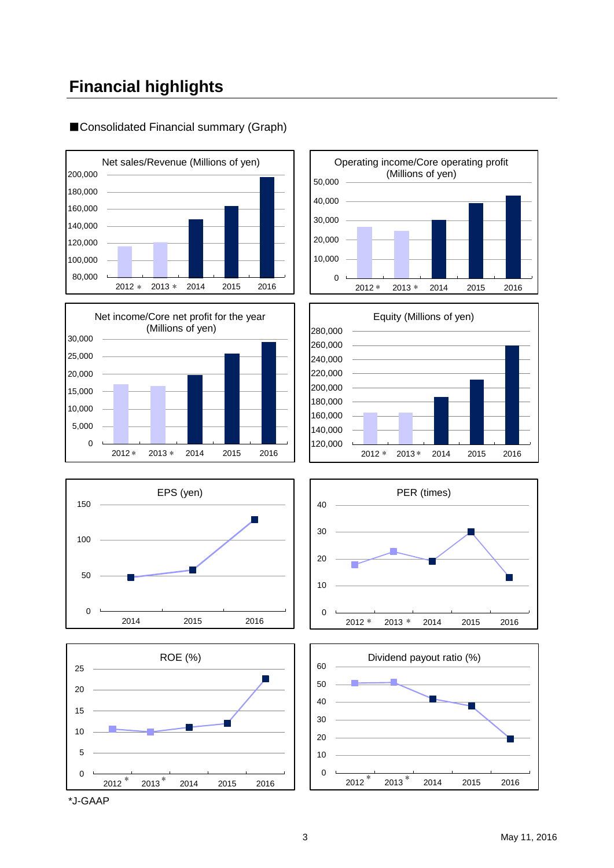# **Financial highlights**

## 80,000 100,000 120,000 140,000 160,000 180,000 200,000 2012 2013 2014 2015 2016 Net sales/Revenue (Millions of yen) \* 2013 \* 2014 2015 2016 | | 2012 \* 2013 \*

















\*J-GAAP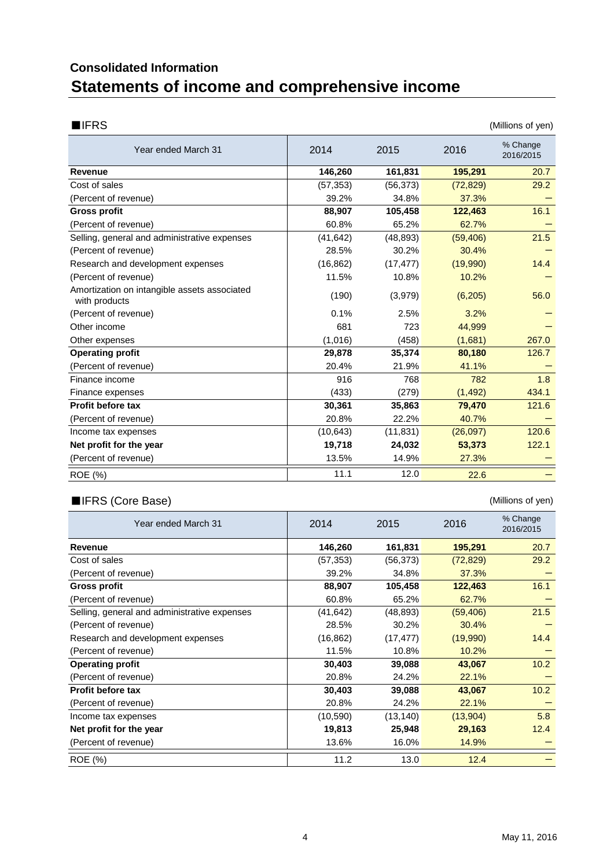# **Statements of income and comprehensive income Consolidated Information**

| <b>IFRS</b><br>(Millions of yen)                              |           |           |           |                       |  |  |  |  |
|---------------------------------------------------------------|-----------|-----------|-----------|-----------------------|--|--|--|--|
| Year ended March 31                                           | 2014      | 2015      | 2016      | % Change<br>2016/2015 |  |  |  |  |
| Revenue                                                       | 146,260   | 161,831   | 195,291   | 20.7                  |  |  |  |  |
| Cost of sales                                                 | (57, 353) | (56, 373) | (72, 829) | 29.2                  |  |  |  |  |
| (Percent of revenue)                                          | 39.2%     | 34.8%     | 37.3%     |                       |  |  |  |  |
| <b>Gross profit</b>                                           | 88,907    | 105,458   | 122,463   | 16.1                  |  |  |  |  |
| (Percent of revenue)                                          | 60.8%     | 65.2%     | 62.7%     |                       |  |  |  |  |
| Selling, general and administrative expenses                  | (41, 642) | (48, 893) | (59, 406) | 21.5                  |  |  |  |  |
| (Percent of revenue)                                          | 28.5%     | 30.2%     | 30.4%     |                       |  |  |  |  |
| Research and development expenses                             | (16, 862) | (17, 477) | (19,990)  | 14.4                  |  |  |  |  |
| (Percent of revenue)                                          | 11.5%     | 10.8%     | 10.2%     |                       |  |  |  |  |
| Amortization on intangible assets associated<br>with products | (190)     | (3,979)   | (6,205)   | 56.0                  |  |  |  |  |
| (Percent of revenue)                                          | 0.1%      | 2.5%      | 3.2%      |                       |  |  |  |  |
| Other income                                                  | 681       | 723       | 44,999    |                       |  |  |  |  |
| Other expenses                                                | (1,016)   | (458)     | (1,681)   | 267.0                 |  |  |  |  |
| <b>Operating profit</b>                                       | 29,878    | 35,374    | 80,180    | 126.7                 |  |  |  |  |
| (Percent of revenue)                                          | 20.4%     | 21.9%     | 41.1%     |                       |  |  |  |  |
| Finance income                                                | 916       | 768       | 782       | 1.8                   |  |  |  |  |
| Finance expenses                                              | (433)     | (279)     | (1, 492)  | 434.1                 |  |  |  |  |
| <b>Profit before tax</b>                                      | 30,361    | 35,863    | 79,470    | 121.6                 |  |  |  |  |
| (Percent of revenue)                                          | 20.8%     | 22.2%     | 40.7%     |                       |  |  |  |  |
| Income tax expenses                                           | (10, 643) | (11, 831) | (26,097)  | 120.6                 |  |  |  |  |
| Net profit for the year                                       | 19,718    | 24,032    | 53,373    | 122.1                 |  |  |  |  |
| (Percent of revenue)                                          | 13.5%     | 14.9%     | 27.3%     |                       |  |  |  |  |
| ROE (%)                                                       | 11.1      | 12.0      | 22.6      |                       |  |  |  |  |

## ■IFRS (Core Base) (Millions of yen)

| Year ended March 31                          | 2014      | 2015      | 2016      | % Change<br>2016/2015 |
|----------------------------------------------|-----------|-----------|-----------|-----------------------|
| <b>Revenue</b>                               | 146,260   | 161,831   | 195,291   | 20.7                  |
| Cost of sales                                | (57,353)  | (56,373)  | (72, 829) | 29.2                  |
| (Percent of revenue)                         | 39.2%     | 34.8%     | 37.3%     |                       |
| Gross profit                                 | 88,907    | 105,458   | 122,463   | 16.1                  |
| (Percent of revenue)                         | 60.8%     | 65.2%     | 62.7%     |                       |
| Selling, general and administrative expenses | (41,642)  | (48, 893) | (59, 406) | 21.5                  |
| (Percent of revenue)                         | 28.5%     | 30.2%     | 30.4%     |                       |
| Research and development expenses            | (16, 862) | (17, 477) | (19,990)  | 14.4                  |
| (Percent of revenue)                         | 11.5%     | 10.8%     | 10.2%     |                       |
| <b>Operating profit</b>                      | 30,403    | 39,088    | 43,067    | 10.2                  |
| (Percent of revenue)                         | 20.8%     | 24.2%     | 22.1%     |                       |
| <b>Profit before tax</b>                     | 30,403    | 39,088    | 43,067    | 10.2                  |
| (Percent of revenue)                         | 20.8%     | 24.2%     | 22.1%     |                       |
| Income tax expenses                          | (10, 590) | (13, 140) | (13,904)  | 5.8                   |
| Net profit for the year                      | 19,813    | 25,948    | 29,163    | 12.4                  |
| (Percent of revenue)                         | 13.6%     | 16.0%     | 14.9%     |                       |
| ROE (%)                                      | 11.2      | 13.0      | 12.4      |                       |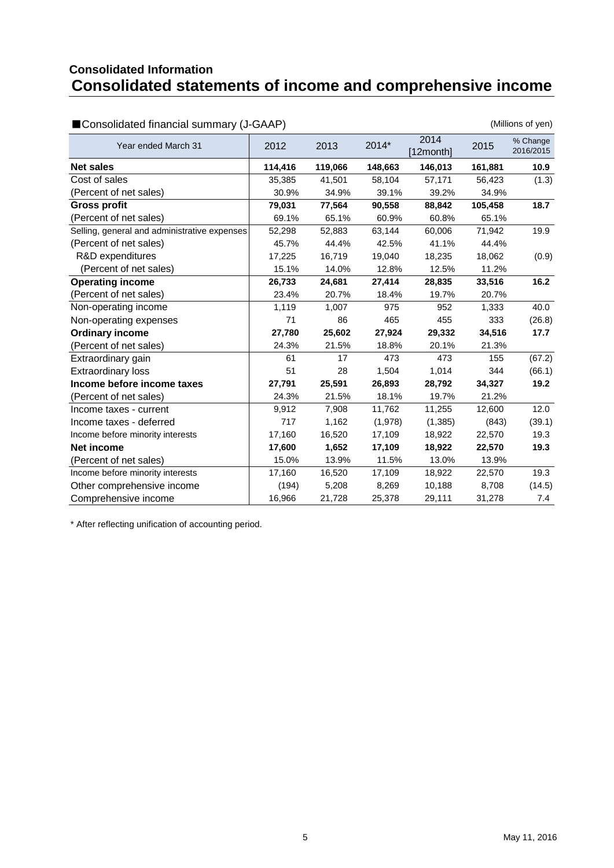## **Consolidated statements of income and comprehensive income Consolidated Information**

| ■ Consolidated financial summary (J-GAAP)    |         |         | (Millions of yen) |                  |         |                       |
|----------------------------------------------|---------|---------|-------------------|------------------|---------|-----------------------|
| Year ended March 31                          | 2012    | 2013    | 2014*             | 2014<br>12month] | 2015    | % Change<br>2016/2015 |
| <b>Net sales</b>                             | 114,416 | 119,066 | 148,663           | 146,013          | 161,881 | 10.9 <sub>1</sub>     |
| Cost of sales                                | 35,385  | 41,501  | 58,104            | 57,171           | 56,423  | (1.3)                 |
| (Percent of net sales)                       | 30.9%   | 34.9%   | 39.1%             | 39.2%            | 34.9%   |                       |
| <b>Gross profit</b>                          | 79,031  | 77,564  | 90,558            | 88,842           | 105,458 | 18.7                  |
| (Percent of net sales)                       | 69.1%   | 65.1%   | 60.9%             | 60.8%            | 65.1%   |                       |
| Selling, general and administrative expenses | 52,298  | 52,883  | 63,144            | 60,006           | 71,942  | 19.9                  |
| (Percent of net sales)                       | 45.7%   | 44.4%   | 42.5%             | 41.1%            | 44.4%   |                       |
| R&D expenditures                             | 17,225  | 16,719  | 19,040            | 18,235           | 18,062  | (0.9)                 |
| (Percent of net sales)                       | 15.1%   | 14.0%   | 12.8%             | 12.5%            | 11.2%   |                       |
| <b>Operating income</b>                      | 26,733  | 24,681  | 27,414            | 28,835           | 33,516  | 16.2                  |
| (Percent of net sales)                       | 23.4%   | 20.7%   | 18.4%             | 19.7%            | 20.7%   |                       |
| Non-operating income                         | 1,119   | 1,007   | 975               | 952              | 1,333   | 40.0                  |
| Non-operating expenses                       | 71      | 86      | 465               | 455              | 333     | (26.8)                |
| <b>Ordinary income</b>                       | 27,780  | 25,602  | 27,924            | 29,332           | 34,516  | 17.7                  |
| (Percent of net sales)                       | 24.3%   | 21.5%   | 18.8%             | 20.1%            | 21.3%   |                       |
| Extraordinary gain                           | 61      | 17      | 473               | 473              | 155     | (67.2)                |
| <b>Extraordinary loss</b>                    | 51      | 28      | 1,504             | 1,014            | 344     | (66.1)                |
| Income before income taxes                   | 27,791  | 25,591  | 26,893            | 28,792           | 34,327  | 19.2                  |
| (Percent of net sales)                       | 24.3%   | 21.5%   | 18.1%             | 19.7%            | 21.2%   |                       |
| Income taxes - current                       | 9,912   | 7,908   | 11,762            | 11,255           | 12,600  | 12.0                  |
| Income taxes - deferred                      | 717     | 1,162   | (1,978)           | (1,385)          | (843)   | (39.1)                |
| Income before minority interests             | 17,160  | 16,520  | 17,109            | 18,922           | 22,570  | 19.3                  |
| <b>Net income</b>                            | 17,600  | 1,652   | 17,109            | 18,922           | 22,570  | 19.3                  |
| (Percent of net sales)                       | 15.0%   | 13.9%   | 11.5%             | 13.0%            | 13.9%   |                       |
| Income before minority interests             | 17,160  | 16,520  | 17,109            | 18,922           | 22,570  | 19.3                  |
| Other comprehensive income                   | (194)   | 5,208   | 8,269             | 10,188           | 8,708   | (14.5)                |
| Comprehensive income                         | 16,966  | 21,728  | 25,378            | 29,111           | 31,278  | 7.4                   |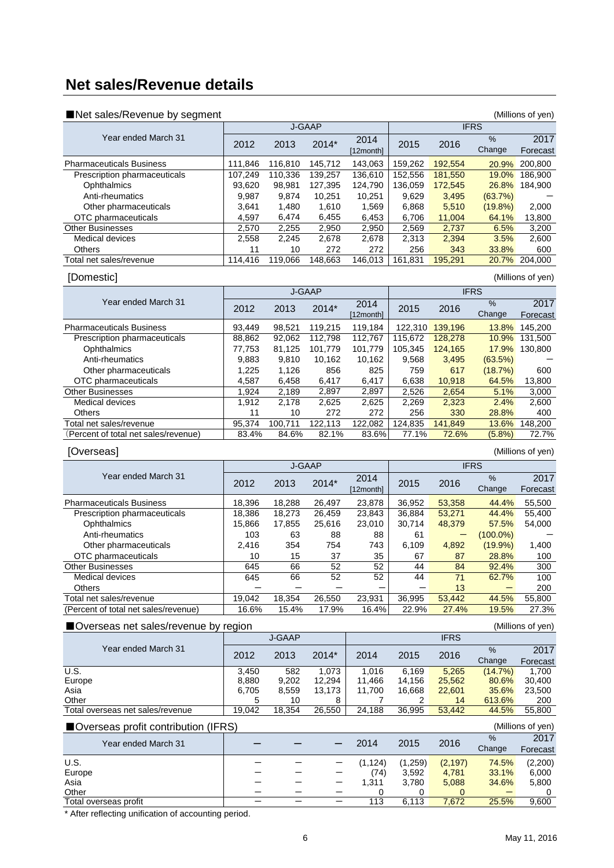# **Net sales/Revenue details**

| ■Net sales/Revenue by segment        |            |               |                   |                   |              |                 |                      | (Millions of yen) |  |
|--------------------------------------|------------|---------------|-------------------|-------------------|--------------|-----------------|----------------------|-------------------|--|
|                                      |            |               | J-GAAP            |                   |              |                 | <b>IFRS</b>          |                   |  |
| Year ended March 31                  | 2012       | 2013          | 2014*             | 2014<br>[12month] | 2015         | 2016            | %<br>Change          | 2017<br>Forecast  |  |
| <b>Pharmaceuticals Business</b>      | 111,846    | 116,810       | 145,712           | 143,063           | 159,262      | 192,554         |                      | 20.9% 200,800     |  |
| Prescription pharmaceuticals         | 107,249    | 110,336       | 139,257           | 136,610           | 152,556      | 181,550         | 19.0%                | 186,900           |  |
| Ophthalmics                          | 93,620     | 98,981        | 127,395           | 124,790           | 136,059      | 172,545         |                      | 26.8% 184,900     |  |
| Anti-rheumatics                      | 9,987      | 9,874         | 10,251            | 10,251            | 9,629        | 3,495           | (63.7%)              |                   |  |
| Other pharmaceuticals                | 3,641      | 1,480         | 1,610             | 1,569             | 6,868        | 5,510           | $(19.8\%)$           | 2,000             |  |
| OTC pharmaceuticals                  | 4,597      | 6,474         | 6,455             | 6,453             | 6,706        | 11,004          | 64.1%                | 13,800            |  |
| <b>Other Businesses</b>              | 2,570      | 2,255         | 2,950             | 2,950             | 2,569        | 2,737           | 6.5%                 | 3,200             |  |
| Medical devices                      | 2,558      | 2,245         | 2,678             | 2,678             | 2,313        | 2,394           | 3.5%                 | 2,600             |  |
| Others                               | 11         | 10            | 272               | 272               | 256          | 343             | 33.8%                | 600               |  |
| Total net sales/revenue              | 114,416    | 119,066       | 148,663           | 146,013           | 161,831      | 195,291         |                      | 20.7% 204,000     |  |
| [Domestic]                           |            |               |                   |                   |              |                 |                      | (Millions of yen) |  |
|                                      |            |               | J-GAAP            |                   |              |                 | <b>IFRS</b>          |                   |  |
| Year ended March 31                  |            |               |                   | 2014              |              |                 | $\%$                 | 2017              |  |
|                                      | 2012       | 2013          | 2014*             | [12month]         | 2015         | 2016            | Change               | Forecast          |  |
| <b>Pharmaceuticals Business</b>      | 93,449     | 98,521        | 119,215           | 119,184           |              | 122,310 139,196 |                      | 13.8% 145,200     |  |
| Prescription pharmaceuticals         | 88,862     | 92,062        | 112,798           | 112,767           | 115,672      | 128,278         |                      | 10.9% 131,500     |  |
| Ophthalmics                          | 77,753     | 81,125        | 101,779           | 101,779           | 105,345      | 124,165         |                      | 17.9% 130,800     |  |
| Anti-rheumatics                      | 9,883      | 9,810         | 10,162            | 10,162            | 9,568        | 3,495           | (63.5%)              |                   |  |
| Other pharmaceuticals                | 1,225      | 1,126         | 856               | 825               | 759          | 617             | (18.7%)              | 600               |  |
| OTC pharmaceuticals                  | 4,587      | 6,458         | 6,417             | 6,417             | 6,638        | 10,918          | 64.5%                | 13,800            |  |
| <b>Other Businesses</b>              | 1,924      | 2,189         | 2,897             | 2,897             | 2,526        | 2,654           | 5.1%                 | 3,000             |  |
| Medical devices                      | 1,912      | 2,178         | 2,625             | 2,625             | 2,269        | 2,323           | 2.4%                 | 2,600             |  |
| Others                               | 11         | 10            | 272               | 272               | 256          | 330             | 28.8%                | 400               |  |
| Total net sales/revenue              | 95,374     | 100,711       | 122,113           | 122,082           | 124,835      | 141,849         | 13.6%                | 148,200           |  |
| (Percent of total net sales/revenue) | 83.4%      | 84.6%         | 82.1%             | 83.6%             | 77.1%        | 72.6%           | (5.8%)               | 72.7%             |  |
|                                      |            |               |                   |                   |              |                 |                      |                   |  |
| [Overseas]                           |            |               |                   |                   |              |                 |                      | (Millions of yen) |  |
|                                      | J-GAAP     |               |                   |                   |              |                 | <b>IFRS</b>          |                   |  |
|                                      |            |               |                   |                   |              |                 |                      |                   |  |
| Year ended March 31                  | 2012       | 2013          | 2014*             | 2014<br>[12month] | 2015         | 2016            | %<br>Change          | 2017<br>Forecast  |  |
| <b>Pharmaceuticals Business</b>      | 18,396     |               | 26,497            | 23,878            | 36,952       | 53,358          | 44.4%                | 55,500            |  |
|                                      | 18,386     | 18,288        |                   |                   |              |                 | 44.4%                | 55,400            |  |
| Prescription pharmaceuticals         | 15,866     | 18,273        | 26,459            | 23,843            | 36,884       | 53,271          |                      |                   |  |
| Ophthalmics<br>Anti-rheumatics       | 103        | 17,855<br>63  | 25,616<br>88      | 23,010<br>88      | 30,714<br>61 | 48,379          | 57.5%<br>$(100.0\%)$ | 54,000            |  |
| Other pharmaceuticals                | 2,416      | 354           | 754               | 743               | 6,109        | 4,892           | (19.9%)              | 1,400             |  |
| OTC pharmaceuticals                  | 10         | 15            | 37                | 35                | 67           | 87              | 28.8%                | 100               |  |
| <b>Other Businesses</b>              |            |               | 52                |                   | 44           |                 |                      |                   |  |
| Medical devices                      | 645<br>645 | 66<br>66      | 52                | 52<br>52          | 44           | 84<br>71        | 92.4%<br>62.7%       | 300<br>100        |  |
| Others                               |            |               |                   |                   |              | 13              |                      | 200               |  |
| Total net sales/revenue              | 19,042     | 18,354        | 26,550            | 23,931            | 36,995       | 53,442          | 44.5%                | 55,800            |  |
| (Percent of total net sales/revenue) | 16.6%      | 15.4%         | 17.9%             | 16.4%             | 22.9%        | 27.4%           | 19.5%                | 27.3%             |  |
|                                      |            |               |                   |                   |              |                 |                      |                   |  |
| Overseas net sales/revenue by region |            | <b>J-GAAP</b> |                   |                   |              | <b>IFRS</b>     |                      | (Millions of yen) |  |
| Year ended March 31                  |            |               |                   |                   |              |                 | %                    | 2017              |  |
|                                      | 2012       | 2013          | 2014*             | 2014              | 2015         | 2016            | Change               | Forecast          |  |
| <b>U.S.</b>                          | 3,450      | 582           | 1.073             | 1,016             | 6,169        | 5,265           | (14.7%)              | 1,700             |  |
| Europe                               | 8,880      | 9,202         | 12,294            | 11,466            | 14,156       | 25,562          | 80.6%                | 30,400            |  |
| Asia                                 | 6,705      | 8,559         | 13,173            | 11,700            | 16,668       | 22,601          | 35.6%                | 23,500            |  |
| Other                                | 5          | 10            | 8                 | 7                 | 2            | 14              | 613.6%               | 200               |  |
| Total overseas net sales/revenue     | 19,042     | 18,354        | 26,550            | 24,188            | 36,995       | 53,442          | 44.5%                | 55,800            |  |
| ■Overseas profit contribution (IFRS) |            |               |                   |                   |              |                 |                      | (Millions of yen) |  |
|                                      |            |               |                   |                   |              |                 | %                    | 2017              |  |
| Year ended March 31                  |            |               |                   | 2014              | 2015         | 2016            | Change               | Forecast          |  |
| U.S.                                 |            |               |                   | (1, 124)          | (1,259)      | (2, 197)        | 74.5%                | (2,200)           |  |
| Europe                               |            |               |                   | (74)              | 3,592        | 4,781           | 33.1%                | 6,000             |  |
| Asia                                 |            |               | —                 | 1,311             | 3,780        | 5,088           | 34.6%                | 5,800             |  |
| Other<br>Total overseas profit       | $-$        | $\equiv$      | $\qquad \qquad -$ | 0<br>113          | 0<br>6,113   | 0<br>7,672      | 25.5%                | 0<br>9,600        |  |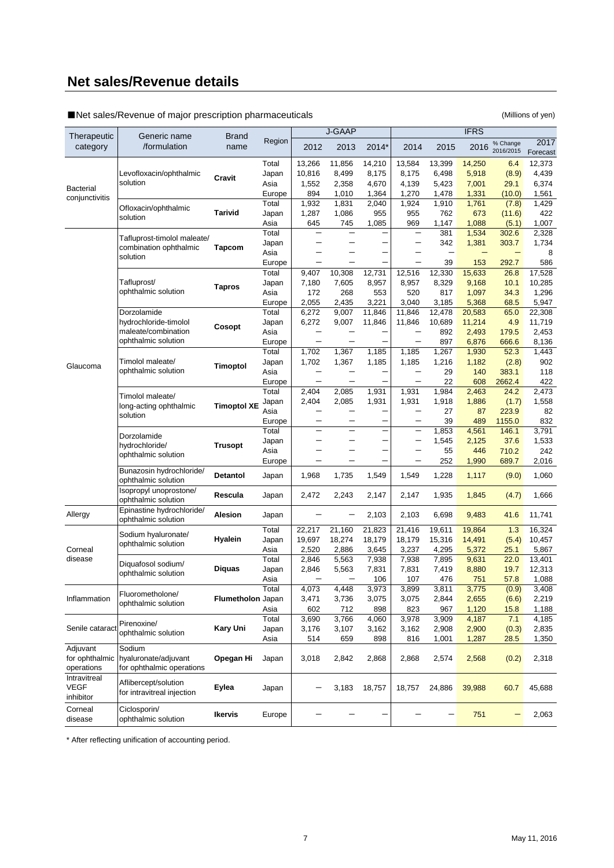# **Net sales/Revenue details**

■Net sales/Revenue of major prescription pharmaceuticals (Millions of yen)

|                         |                                                    |                    |               |                          | J-GAAP         |                |                                 |                          | <b>IFRS</b>    |                       |                  |
|-------------------------|----------------------------------------------------|--------------------|---------------|--------------------------|----------------|----------------|---------------------------------|--------------------------|----------------|-----------------------|------------------|
| Therapeutic<br>category | Generic name<br>/formulation                       | Brand<br>name      | Region        | 2012                     | 2013           | 2014*          | 2014                            | 2015                     | 2016           | % Change<br>2016/2015 | 2017<br>Forecast |
|                         |                                                    |                    | Total         | 13,266                   | 11,856         | 14,210         | 13,584                          | 13,399                   | 14,250         | 6.4                   | 12,373           |
|                         | Levofloxacin/ophthalmic                            | Cravit             | Japan         | 10,816                   | 8,499          | 8,175          | 8,175                           | 6,498                    | 5,918          | (8.9)                 | 4,439            |
| <b>Bacterial</b>        | solution                                           |                    | Asia          | 1,552                    | 2,358          | 4,670          | 4,139                           | 5,423                    | 7,001          | 29.1                  | 6,374            |
| conjunctivitis          |                                                    |                    | Europe        | 894                      | 1,010          | 1,364          | 1,270                           | 1,478                    | 1,331          | (10.0)                | 1,561            |
|                         | Ofloxacin/ophthalmic                               |                    | Total         | 1,932                    | 1,831          | 2,040          | 1,924                           | 1,910                    | 1,761          | (7.8)                 | 1,429            |
|                         | solution                                           | Tarivid            | Japan         | 1,287                    | 1,086          | 955            | 955                             | 762                      | 673            | (11.6)                | 422              |
|                         |                                                    |                    | Asia<br>Total | 645                      | 745            | 1,085          | 969<br>$\overline{\phantom{0}}$ | 1,147<br>381             | 1,088<br>1,534 | (5.1)                 | 1,007<br>2,328   |
|                         | Tafluprost-timolol maleate/                        |                    |               |                          | -              |                | -                               | 342                      | 1,381          | 302.6<br>303.7        | 1,734            |
|                         | combination ophthalmic                             | <b>Tapcom</b>      | Japan<br>Asia |                          | -              |                |                                 | $\overline{\phantom{0}}$ |                | $\qquad \qquad -$     | 8                |
|                         | solution                                           |                    | Europe        | -                        |                |                | $\overline{\phantom{0}}$        | 39                       | 153            | 292.7                 | 586              |
|                         |                                                    |                    | Total         | 9,407                    | 10,308         | 12,731         | 12,516                          | 12,330                   | 15,633         | 26.8                  | 17,528           |
|                         | Tafluprost/                                        |                    | Japan         | 7,180                    | 7,605          | 8,957          | 8,957                           | 8,329                    | 9,168          | 10.1                  | 10,285           |
|                         | ophthalmic solution                                | <b>Tapros</b>      | Asia          | 172                      | 268            | 553            | 520                             | 817                      | 1,097          | 34.3                  | 1,296            |
|                         |                                                    |                    | Europe        | 2,055                    | 2,435          | 3,221          | 3,040                           | 3,185                    | 5,368          | 68.5                  | 5,947            |
|                         | Dorzolamide                                        |                    | Total         | 6,272                    | 9,007          | 11,846         | 11,846                          | 12,478                   | 20,583         | 65.0                  | 22,308           |
|                         | hydrochloride-timolol                              |                    | Japan         | 6,272                    | 9,007          | 11,846         | 11,846                          | 10,689                   | 11,214         | 4.9                   | 11,719           |
|                         | maleate/combination                                | Cosopt             | Asia          |                          |                |                |                                 | 892                      | 2,493          | 179.5                 | 2,453            |
|                         | ophthalmic solution                                |                    | Europe        | $\overline{\phantom{0}}$ | <u>—</u>       |                | $\overline{\phantom{0}}$        | 897                      | 6,876          | 666.6                 | 8,136            |
|                         |                                                    |                    | Total         | 1,702                    | 1,367          | 1,185          | 1,185                           | 1,267                    | 1,930          | 52.3                  | 1,443            |
| Glaucoma                | Timolol maleate/                                   | Timoptol           | Japan         | 1,702                    | 1,367          | 1,185          | 1,185                           | 1,216                    | 1,182          | (2.8)                 | 902              |
|                         | ophthalmic solution                                |                    | Asia          |                          |                |                |                                 | 29                       | 140            | 383.1                 | 118              |
|                         |                                                    |                    | Europe        | -                        |                |                |                                 | 22                       | 608            | 2662.4                | 422              |
|                         | Timolol maleate/                                   |                    | Total         | 2,404                    | 2,085          | 1,931          | 1,931                           | 1,984                    | 2,463          | 24.2                  | 2,473            |
|                         | long-acting ophthalmic                             | <b>Timoptol XE</b> | Japan         | 2,404                    | 2,085          | 1,931          | 1,931                           | 1,918                    | 1,886          | (1.7)                 | 1,558            |
|                         | solution                                           |                    | Asia          | -                        | -              | -              | $\qquad \qquad -$               | 27                       | 87             | 223.9                 | 82               |
|                         |                                                    |                    | Europe        |                          |                |                |                                 | 39                       | 489            | 1155.0                | 832              |
|                         | Dorzolamide                                        |                    | Total         |                          |                |                | $\overline{\phantom{0}}$        | 1,853                    | 4,561          | 146.1                 | 3,791            |
|                         | hydrochloride/                                     | <b>Trusopt</b>     | Japan         |                          | -              |                |                                 | 1,545                    | 2,125          | 37.6                  | 1,533            |
|                         | ophthalmic solution                                |                    | Asia          |                          | -              |                |                                 | 55                       | 446            | 710.2                 | 242              |
|                         |                                                    |                    | Europe        |                          |                |                | -                               | 252                      | 1,990          | 689.7                 | 2,016            |
|                         | Bunazosin hydrochloride/<br>ophthalmic solution    | Detantol           | Japan         | 1,968                    | 1,735          | 1,549          | 1,549                           | 1,228                    | 1,117          | (9.0)                 | 1,060            |
|                         | Isopropyl unoprostone/<br>ophthalmic solution      | Rescula            | Japan         | 2,472                    | 2,243          | 2,147          | 2,147                           | 1,935                    | 1,845          | (4.7)                 | 1,666            |
| Allergy                 | Epinastine hydrochloride/<br>ophthalmic solution   | Alesion            | Japan         |                          |                | 2,103          | 2,103                           | 6,698                    | 9,483          | 41.6                  | 11,741           |
|                         | Sodium hyaluronate/                                |                    | Total         | 22,217                   | 21,160         | 21,823         | 21,416                          | 19,611                   | 19,864         | 1.3                   | 16,324           |
|                         | ophthalmic solution                                | Hyalein            | Japan         | 19,697                   | 18,274         | 18,179         | 18,179                          | 15,316                   | 14,491         | (5.4)                 | 10,457           |
| Corneal                 |                                                    |                    | Asia          | 2,520                    | 2,886          | 3,645          | 3,237                           | 4,295                    | 5,372          | 25.1                  | 5,867            |
| disease                 | Diquafosol sodium/                                 |                    | Total         | 2,846                    | 5,563          | 7,938          | 7,938                           | 7,895                    | 9,631          | 22.0                  | 13,401           |
|                         | ophthalmic solution                                | Diquas             | Japan         | 2,846                    | 5,563          | 7,831          | 7,831                           | 7,419                    | 8,880          | 19.7                  | 12,313           |
|                         |                                                    |                    | Asia          | -                        | -              | 106            | 107                             | 476                      | 751            | 57.8                  | 1,088            |
| Inflammation            | Fluorometholone/                                   | Flumetholon Japan  | I otal        | 4,073<br>3,471           | 4,448<br>3,736 | 3,973<br>3,075 | 3,899<br>3,075                  | 3,811<br>2,844           | 3,775<br>2,655 | (0.9)<br>(6.6)        | 3,408<br>2,219   |
|                         | ophthalmic solution                                |                    | Asia          | 602                      | 712            | 898            | 823                             | 967                      | 1,120          | 15.8                  | 1,188            |
|                         |                                                    |                    | Total         | 3,690                    | 3,766          | 4,060          | 3,978                           | 3,909                    | 4,187          | 7.1                   | 4,185            |
| Senile cataract         | Pirenoxine/                                        | <b>Kary Uni</b>    | Japan         | 3,176                    | 3,107          | 3,162          | 3,162                           | 2,908                    | 2,900          | (0.3)                 | 2,835            |
|                         | ophthalmic solution                                |                    | Asia          | 514                      | 659            | 898            | 816                             | 1,001                    | 1,287          | 28.5                  | 1,350            |
| Adjuvant                | Sodium                                             |                    |               |                          |                |                |                                 |                          |                |                       |                  |
| for ophthalmic          | hyaluronate/adjuvant                               | Opegan Hi          | Japan         | 3,018                    | 2,842          | 2,868          | 2,868                           | 2,574                    | 2,568          | (0.2)                 | 2,318            |
| operations              | for ophthalmic operations                          |                    |               |                          |                |                |                                 |                          |                |                       |                  |
| Intravitreal            |                                                    |                    |               |                          |                |                |                                 |                          |                |                       |                  |
| <b>VEGF</b>             | Aflibercept/solution<br>for intravitreal injection | Eylea              | Japan         |                          | 3,183          | 18,757         | 18,757                          | 24,886                   | 39,988         | 60.7                  | 45,688           |
| inhibitor               |                                                    |                    |               |                          |                |                |                                 |                          |                |                       |                  |
| Corneal<br>disease      | Ciclosporin/<br>ophthalmic solution                | Ikervis            | Europe        |                          |                |                |                                 |                          | 751            | -                     | 2,063            |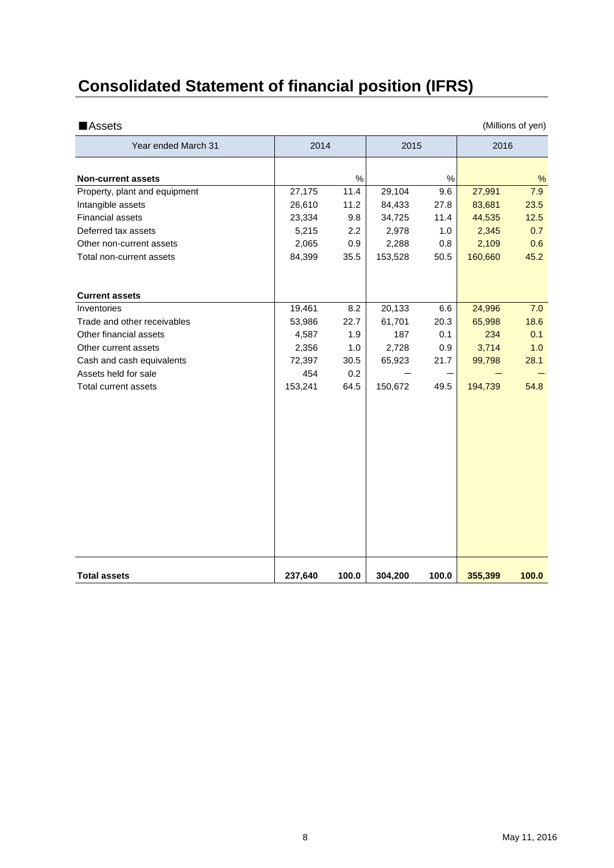# **Consolidated Statement of financial position (IFRS)**

| Year ended March 31           | 2014    |       | 2015    |       | 2016    |       |
|-------------------------------|---------|-------|---------|-------|---------|-------|
|                               |         |       |         |       |         |       |
| <b>Non-current assets</b>     |         | $\%$  |         | $\%$  |         | %     |
| Property, plant and equipment | 27,175  | 11.4  | 29,104  | 9.6   | 27,991  | 7.9   |
| Intangible assets             | 26,610  | 11.2  | 84,433  | 27.8  | 83,681  | 23.5  |
| <b>Financial assets</b>       | 23,334  | 9.8   | 34,725  | 11.4  | 44,535  | 12.5  |
| Deferred tax assets           | 5,215   | 2.2   | 2,978   | 1.0   | 2,345   | 0.7   |
| Other non-current assets      | 2,065   | 0.9   | 2,288   | 0.8   | 2,109   | 0.6   |
| Total non-current assets      | 84,399  | 35.5  | 153,528 | 50.5  | 160,660 | 45.2  |
|                               |         |       |         |       |         |       |
| <b>Current assets</b>         |         |       |         |       |         |       |
| Inventories                   | 19,461  | 8.2   | 20,133  | 6.6   | 24,996  | 7.0   |
| Trade and other receivables   | 53,986  | 22.7  | 61,701  | 20.3  | 65,998  | 18.6  |
| Other financial assets        | 4,587   | 1.9   | 187     | 0.1   | 234     | 0.1   |
| Other current assets          | 2,356   | 1.0   | 2,728   | 0.9   | 3,714   | 1.0   |
| Cash and cash equivalents     | 72,397  | 30.5  | 65,923  | 21.7  | 99,798  | 28.1  |
| Assets held for sale          | 454     | 0.2   |         |       |         |       |
| Total current assets          | 153,241 | 64.5  | 150,672 | 49.5  | 194,739 | 54.8  |
|                               |         |       |         |       |         |       |
|                               |         |       |         |       |         |       |
|                               |         |       |         |       |         |       |
|                               |         |       |         |       |         |       |
|                               |         |       |         |       |         |       |
|                               |         |       |         |       |         |       |
|                               |         |       |         |       |         |       |
|                               |         |       |         |       |         |       |
| <b>Total assets</b>           | 237,640 | 100.0 | 304,200 | 100.0 | 355,399 | 100.0 |

■Assets (Millions of yen)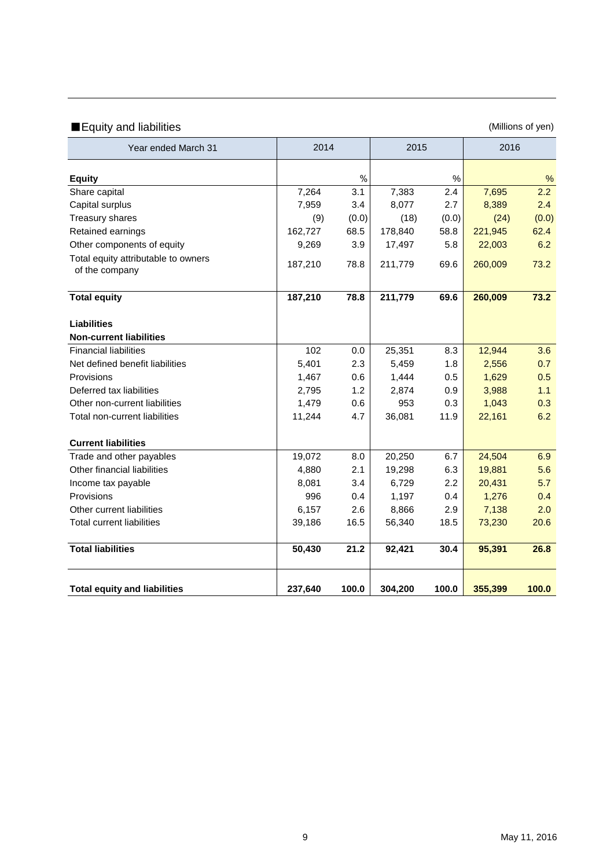## ■Equity and liabilities (Millions of yen)

| Year ended March 31                                   | 2014    |       | 2015    |       | 2016    |       |
|-------------------------------------------------------|---------|-------|---------|-------|---------|-------|
| <b>Equity</b>                                         |         | $\%$  |         | %     |         | %     |
| Share capital                                         | 7,264   | 3.1   | 7,383   | 2.4   | 7,695   | 2.2   |
| Capital surplus                                       | 7,959   | 3.4   | 8,077   | 2.7   | 8,389   | 2.4   |
| <b>Treasury shares</b>                                | (9)     | (0.0) | (18)    | (0.0) | (24)    | (0.0) |
| Retained earnings                                     | 162,727 | 68.5  | 178,840 | 58.8  | 221,945 | 62.4  |
| Other components of equity                            | 9,269   | 3.9   | 17,497  | 5.8   | 22,003  | 6.2   |
| Total equity attributable to owners<br>of the company | 187,210 | 78.8  | 211,779 | 69.6  | 260,009 | 73.2  |
| <b>Total equity</b>                                   | 187,210 | 78.8  | 211,779 | 69.6  | 260,009 | 73.2  |
| <b>Liabilities</b>                                    |         |       |         |       |         |       |
| <b>Non-current liabilities</b>                        |         |       |         |       |         |       |
| <b>Financial liabilities</b>                          | 102     | 0.0   | 25,351  | 8.3   | 12,944  | 3.6   |
| Net defined benefit liabilities                       | 5,401   | 2.3   | 5,459   | 1.8   | 2,556   | 0.7   |
| Provisions                                            | 1,467   | 0.6   | 1,444   | 0.5   | 1,629   | 0.5   |
| Deferred tax liabilities                              | 2,795   | 1.2   | 2,874   | 0.9   | 3,988   | 1.1   |
| Other non-current liabilities                         | 1,479   | 0.6   | 953     | 0.3   | 1,043   | 0.3   |
| Total non-current liabilities                         | 11,244  | 4.7   | 36,081  | 11.9  | 22,161  | 6.2   |
| <b>Current liabilities</b>                            |         |       |         |       |         |       |
| Trade and other payables                              | 19,072  | 8.0   | 20,250  | 6.7   | 24,504  | 6.9   |
| Other financial liabilities                           | 4,880   | 2.1   | 19,298  | 6.3   | 19,881  | 5.6   |
| Income tax payable                                    | 8,081   | 3.4   | 6,729   | 2.2   | 20,431  | 5.7   |
| Provisions                                            | 996     | 0.4   | 1,197   | 0.4   | 1,276   | 0.4   |
| Other current liabilities                             | 6,157   | 2.6   | 8,866   | 2.9   | 7,138   | 2.0   |
| <b>Total current liabilities</b>                      | 39,186  | 16.5  | 56,340  | 18.5  | 73,230  | 20.6  |
| <b>Total liabilities</b>                              | 50,430  | 21.2  | 92,421  | 30.4  | 95,391  | 26.8  |
| <b>Total equity and liabilities</b>                   | 237,640 | 100.0 | 304,200 | 100.0 | 355,399 | 100.0 |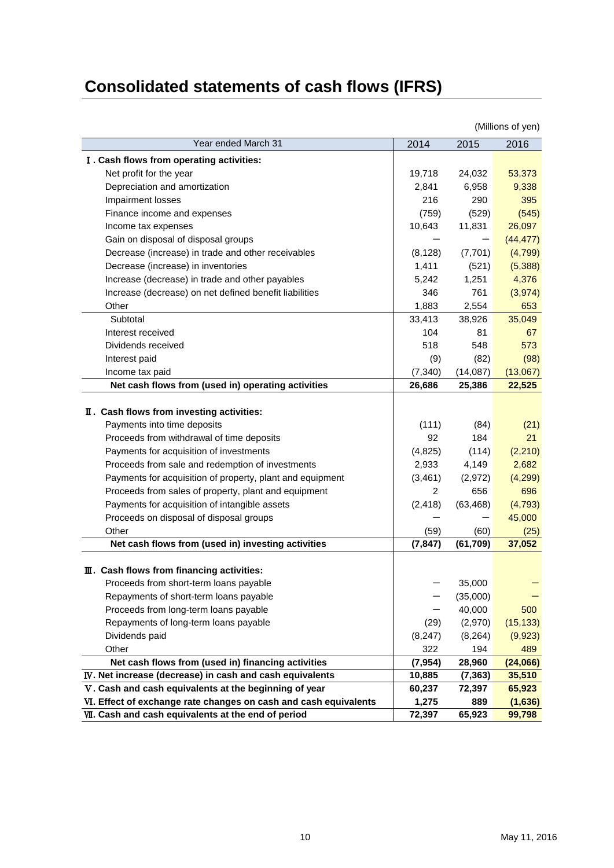# **Consolidated statements of cash flows (IFRS)**

|                                                                  |                |           | (IVIIIIIONS OF YEN) |
|------------------------------------------------------------------|----------------|-----------|---------------------|
| Year ended March 31                                              | 2014           | 2015      | 2016                |
| I. Cash flows from operating activities:                         |                |           |                     |
| Net profit for the year                                          | 19,718         | 24,032    | 53,373              |
| Depreciation and amortization                                    | 2,841          | 6,958     | 9,338               |
| Impairment losses                                                | 216            | 290       | 395                 |
| Finance income and expenses                                      | (759)          | (529)     | (545)               |
| Income tax expenses                                              | 10,643         | 11,831    | 26,097              |
| Gain on disposal of disposal groups                              |                |           | (44, 477)           |
| Decrease (increase) in trade and other receivables               | (8, 128)       | (7,701)   | (4,799)             |
| Decrease (increase) in inventories                               | 1,411          | (521)     | (5,388)             |
| Increase (decrease) in trade and other payables                  | 5,242          | 1,251     | 4,376               |
| Increase (decrease) on net defined benefit liabilities           | 346            | 761       | (3, 974)            |
| Other                                                            | 1,883          | 2,554     | 653                 |
| Subtotal                                                         | 33,413         | 38,926    | 35,049              |
| Interest received                                                | 104            | 81        | 67                  |
| Dividends received                                               | 518            | 548       | 573                 |
| Interest paid                                                    | (9)            | (82)      | (98)                |
| Income tax paid                                                  | (7, 340)       | (14,087)  | (13,067)            |
| Net cash flows from (used in) operating activities               | 26,686         | 25,386    | 22,525              |
| II. Cash flows from investing activities:                        |                |           |                     |
| Payments into time deposits                                      | (111)          | (84)      | (21)                |
| Proceeds from withdrawal of time deposits                        | 92             | 184       | 21                  |
| Payments for acquisition of investments                          | (4,825)        | (114)     | (2, 210)            |
| Proceeds from sale and redemption of investments                 | 2,933          | 4,149     | 2,682               |
| Payments for acquisition of property, plant and equipment        | (3, 461)       | (2, 972)  | (4,299)             |
| Proceeds from sales of property, plant and equipment             | $\overline{2}$ | 656       | 696                 |
| Payments for acquisition of intangible assets                    | (2, 418)       | (63, 468) | (4, 793)            |
| Proceeds on disposal of disposal groups                          |                |           | 45,000              |
| Other                                                            | (59)           | (60)      | (25)                |
| Net cash flows from (used in) investing activities               | (7, 847)       | (61, 709) | 37,052              |
| III. Cash flows from financing activities:                       |                |           |                     |
| Proceeds from short-term loans payable                           |                | 35,000    |                     |
| Repayments of short-term loans payable                           |                | (35,000)  |                     |
| Proceeds from long-term loans payable                            |                | 40,000    | 500                 |
| Repayments of long-term loans payable                            | (29)           | (2,970)   | (15, 133)           |
| Dividends paid                                                   | (8, 247)       | (8, 264)  | (9,923)             |
| Other                                                            | 322            | 194       | 489                 |
| Net cash flows from (used in) financing activities               | (7, 954)       | 28,960    | (24,066)            |
| IV. Net increase (decrease) in cash and cash equivalents         | 10,885         | (7, 363)  | 35,510              |
| V. Cash and cash equivalents at the beginning of year            | 60,237         | 72,397    | 65,923              |
| VI. Effect of exchange rate changes on cash and cash equivalents | 1,275          | 889       | (1,636)             |
| VII. Cash and cash equivalents at the end of period              | 72,397         | 65,923    | 99,798              |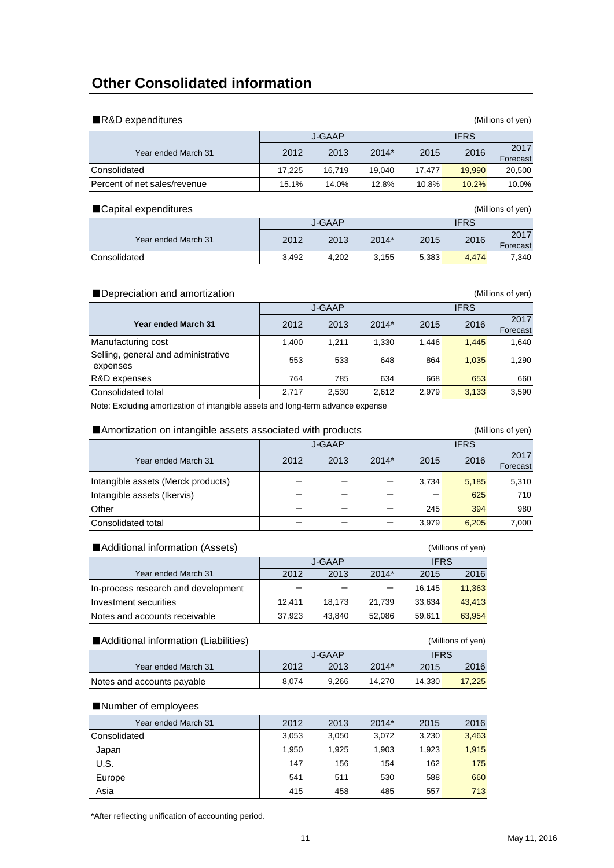## **Other Consolidated information**

| ■R&D expenditures            |        |               |         |        |             | (Millions of yen) |
|------------------------------|--------|---------------|---------|--------|-------------|-------------------|
|                              |        | <b>J-GAAP</b> |         |        | <b>IFRS</b> |                   |
| Year ended March 31          | 2012   | 2013          | $2014*$ | 2015   | 2016        | 2017<br>Forecast  |
| Consolidated                 | 17.225 | 16.719        | 19.040  | 17.477 | 19.990      | 20,500            |
| Percent of net sales/revenue | 15.1%  | 14.0%         | 12.8%   | 10.8%  | 10.2%       | 10.0%             |
| ■ Capital expenditures       |        |               |         |        |             | (Millions of yen) |
|                              |        | <b>J-GAAP</b> |         |        | <b>IFRS</b> |                   |

|                     |       | - - - - |         |       | .     |                  |
|---------------------|-------|---------|---------|-------|-------|------------------|
| Year ended March 31 | 2012  | 2013    | $2014*$ | 2015  | 2016  | 2017<br>Forecast |
| Consolidated        | 3.492 | 4.202   | 3.155   | 5.383 | 4.474 | 7,340            |

#### ■Depreciation and amortization (Millions of yen)

|                                                 |       | J-GAAP |         |       | <b>IFRS</b> |                  |
|-------------------------------------------------|-------|--------|---------|-------|-------------|------------------|
| <b>Year ended March 31</b>                      | 2012  | 2013   | $2014*$ | 2015  | 2016        | 2017<br>Forecast |
| Manufacturing cost                              | 1.400 | 1,211  | 1,330   | 1.446 | 1.445       | 1,640            |
| Selling, general and administrative<br>expenses | 553   | 533    | 648     | 864   | 1.035       | 1,290            |
| R&D expenses                                    | 764   | 785    | 634     | 668   | 653         | 660              |
| Consolidated total                              | 2.717 | 2,530  | 2.612   | 2.979 | 3.133       | 3.590            |

Note: Excluding amortization of intangible assets and long-term advance expense

|                                    | Amortization on intangible assets associated with products |      |         |             |       |                  |
|------------------------------------|------------------------------------------------------------|------|---------|-------------|-------|------------------|
|                                    | J-GAAP                                                     |      |         | <b>IFRS</b> |       |                  |
| Year ended March 31                | 2012                                                       | 2013 | $2014*$ | 2015        | 2016  | 2017<br>Forecast |
| Intangible assets (Merck products) |                                                            |      |         | 3.734       | 5.185 | 5,310            |
| Intangible assets (Ikervis)        |                                                            |      |         |             | 625   | 710              |
| Other                              |                                                            |      |         | 245         | 394   | 980              |
| Consolidated total                 |                                                            |      |         | 3.979       | 6.205 | 7.000            |

### ■Additional information (Assets) (Millions of yen)

|                                     |        | J-GAAP |         | <b>IFRS</b> |        |
|-------------------------------------|--------|--------|---------|-------------|--------|
| Year ended March 31                 | 2012   | 2013   | $2014*$ | 2015        | 2016   |
| In-process research and development |        |        |         | 16.145      | 11,363 |
| Investment securities               | 12.411 | 18.173 | 21.739  | 33.634      | 43,413 |
| Notes and accounts receivable       | 37,923 | 43.840 | 52,086  | 59.611      | 63.954 |

| ■ Additional information (Liabilities)<br>(Millions of yen) |       |        |             |        |        |  |
|-------------------------------------------------------------|-------|--------|-------------|--------|--------|--|
|                                                             |       | J-GAAP | <b>IFRS</b> |        |        |  |
| Year ended March 31                                         | 2012  | 2013   | $2014*$     | 2015   | 2016   |  |
| Notes and accounts payable                                  | 8.074 | 9.266  | 14.270      | 14.330 | 17.225 |  |

### ■Number of employees

| Year ended March 31 | 2012  | 2013  | $2014*$ | 2015  | 2016  |
|---------------------|-------|-------|---------|-------|-------|
| Consolidated        | 3,053 | 3,050 | 3,072   | 3,230 | 3,463 |
| Japan               | 1,950 | 1.925 | 1,903   | 1.923 | 1,915 |
| U.S.                | 147   | 156   | 154     | 162   | 175   |
| Europe              | 541   | 511   | 530     | 588   | 660   |
| Asia                | 415   | 458   | 485     | 557   | 713   |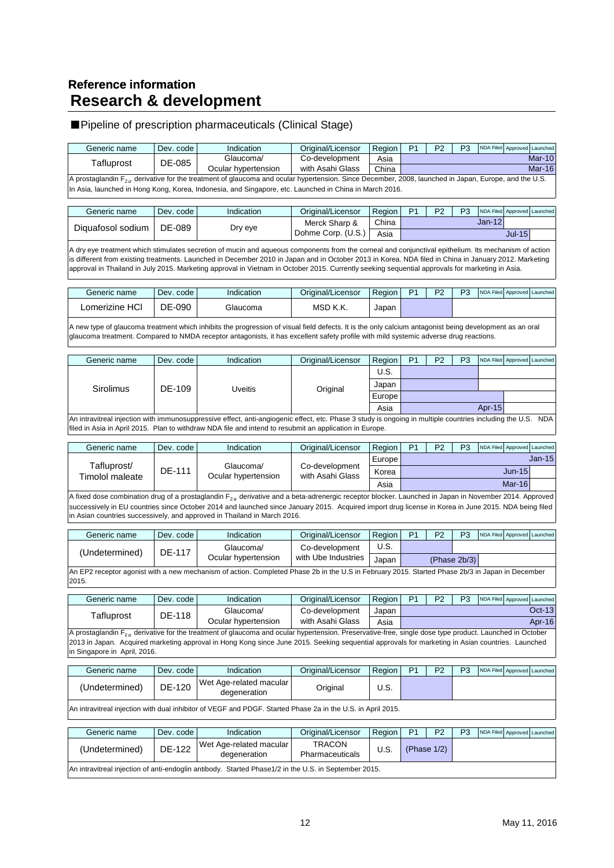## **Research & development Reference information**

## ■Pipeline of prescription pharmaceuticals (Clinical Stage)

| Tafluprost                   | DE-085        | Glaucoma/                                                                                                                                                                                                                                                                                                                                                                                                                                                        | Co-development                     | Asia   |                |                |                |                  |                             | Mar-10            |
|------------------------------|---------------|------------------------------------------------------------------------------------------------------------------------------------------------------------------------------------------------------------------------------------------------------------------------------------------------------------------------------------------------------------------------------------------------------------------------------------------------------------------|------------------------------------|--------|----------------|----------------|----------------|------------------|-----------------------------|-------------------|
|                              |               | Ocular hypertension                                                                                                                                                                                                                                                                                                                                                                                                                                              | with Asahi Glass                   | China  |                |                |                |                  |                             | <b>Mar-16</b>     |
|                              |               | A prostaglandin $F_{2\alpha}$ derivative for the treatment of glaucoma and ocular hypertension. Since December, 2008, launched in Japan, Europe, and the U.S.<br>In Asia, launched in Hong Kong, Korea, Indonesia, and Singapore, etc. Launched in China in March 2016.                                                                                                                                                                                          |                                    |        |                |                |                |                  |                             |                   |
| Generic name                 | Dev. code     | Indication                                                                                                                                                                                                                                                                                                                                                                                                                                                       | Original/Licensor                  | Region | P <sub>1</sub> | P <sub>2</sub> | P <sub>3</sub> | NDA Filed        |                             | Approved Launched |
|                              |               |                                                                                                                                                                                                                                                                                                                                                                                                                                                                  | Merck Sharp &                      | China  |                |                |                | $Jan-12$         |                             |                   |
| Diquafosol sodium            | DE-089        | Dry eye                                                                                                                                                                                                                                                                                                                                                                                                                                                          | Dohme Corp. (U.S.)                 | Asia   |                |                |                |                  | $Jul-15$                    |                   |
|                              |               | A dry eye treatment which stimulates secretion of mucin and aqueous components from the corneal and conjunctival epithelium. Its mechanism of action<br>is different from existing treatments. Launched in December 2010 in Japan and in October 2013 in Korea. NDA filed in China in January 2012. Marketing<br>approval in Thailand in July 2015. Marketing approval in Vietnam in October 2015. Currently seeking sequential approvals for marketing in Asia. |                                    |        |                |                |                |                  |                             |                   |
| Generic name                 | Dev. code     | Indication                                                                                                                                                                                                                                                                                                                                                                                                                                                       | Original/Licensor                  | Region | P <sub>1</sub> | P <sub>2</sub> | P <sub>3</sub> |                  | NDA Filed Approved Launched |                   |
| Lomerizine HCI               | DE-090        | Glaucoma                                                                                                                                                                                                                                                                                                                                                                                                                                                         | MSD K.K.                           | Japan  |                |                |                |                  |                             |                   |
|                              |               | A new type of glaucoma treatment which inhibits the progression of visual field defects. It is the only calcium antagonist being development as an oral<br>glaucoma treatment. Compared to NMDA receptor antagonists, it has excellent safety profile with mild systemic adverse drug reactions.                                                                                                                                                                 |                                    |        |                |                |                |                  |                             |                   |
| Generic name                 | Dev. code     | Indication                                                                                                                                                                                                                                                                                                                                                                                                                                                       | Original/Licensor                  | Region | P <sub>1</sub> | P <sub>2</sub> | P <sub>3</sub> | <b>NDA Filed</b> |                             | Approved Launched |
|                              |               |                                                                                                                                                                                                                                                                                                                                                                                                                                                                  |                                    | U.S.   |                |                |                |                  |                             |                   |
| Sirolimus                    | DE-109        |                                                                                                                                                                                                                                                                                                                                                                                                                                                                  |                                    | Japan  |                |                |                |                  |                             |                   |
|                              |               | Uveitis                                                                                                                                                                                                                                                                                                                                                                                                                                                          | Original                           | Europe |                |                |                |                  |                             |                   |
|                              |               |                                                                                                                                                                                                                                                                                                                                                                                                                                                                  |                                    | Asia   |                |                |                | Apr-15           |                             |                   |
|                              |               | An intravitreal injection with immunosuppressive effect, anti-angiogenic effect, etc. Phase 3 study is ongoing in multiple countries including the U.S. NDA<br>filed in Asia in April 2015. Plan to withdraw NDA file and intend to resubmit an application in Europe.                                                                                                                                                                                           |                                    |        |                |                |                |                  |                             |                   |
| Generic name                 | Dev. code     | Indication                                                                                                                                                                                                                                                                                                                                                                                                                                                       | Original/Licensor                  | Region | P <sub>1</sub> | P <sub>2</sub> | P <sub>3</sub> |                  | NDA Filed Approved Launched |                   |
| Tafluprost/                  |               |                                                                                                                                                                                                                                                                                                                                                                                                                                                                  |                                    | Europe |                |                |                |                  |                             | $Jan-15$          |
| <b>Timolol maleate</b>       | <b>DE-111</b> | Glaucoma/<br>Ocular hypertension                                                                                                                                                                                                                                                                                                                                                                                                                                 | Co-development<br>with Asahi Glass | Korea  |                |                |                |                  | <b>Jun-15</b>               |                   |
|                              |               |                                                                                                                                                                                                                                                                                                                                                                                                                                                                  |                                    | Asia   |                |                |                |                  | Mar-16                      |                   |
|                              |               | A fixed dose combination drug of a prostaglandin F <sub>2a</sub> derivative and a beta-adrenergic receptor blocker. Launched in Japan in November 2014. Approved<br>successively in EU countries since October 2014 and launched since January 2015. Acquired import drug license in Korea in June 2015. NDA being filed<br>in Asian countries successively, and approved in Thailand in March 2016.                                                             |                                    |        |                |                |                |                  |                             |                   |
| Generic name                 | Dev. code     | Indication                                                                                                                                                                                                                                                                                                                                                                                                                                                       | Original/Licensor                  | Region | P <sub>1</sub> | P <sub>2</sub> | P <sub>3</sub> |                  | NDA Filed Approved Launched |                   |
|                              |               | Glaucoma/                                                                                                                                                                                                                                                                                                                                                                                                                                                        | Co-development                     | U.S.   |                |                |                |                  |                             |                   |
| (Undetermined)               | DE-117        | Ocular hypertension                                                                                                                                                                                                                                                                                                                                                                                                                                              | with Ube Industries                | Japan  |                |                | (Phase 2b/3)   |                  |                             |                   |
| 2015.                        |               | An EP2 receptor agonist with a new mechanism of action. Completed Phase 2b in the U.S in February 2015. Started Phase 2b/3 in Japan in December                                                                                                                                                                                                                                                                                                                  |                                    |        |                |                |                |                  |                             |                   |
| Generic name                 | Dev. code     | Indication                                                                                                                                                                                                                                                                                                                                                                                                                                                       | Original/Licensor                  | Region | P <sub>1</sub> | P <sub>2</sub> | P3             |                  | NDA Filed Approved          | Launched          |
|                              |               | Glaucoma/                                                                                                                                                                                                                                                                                                                                                                                                                                                        | Co-development                     | Japan  |                |                |                |                  |                             | Oct-13            |
| Tafluprost                   | DE-118        | Ocular hypertension                                                                                                                                                                                                                                                                                                                                                                                                                                              | with Asahi Glass                   | Asia   |                |                |                |                  |                             | Apr-16            |
| in Singapore in April, 2016. |               | A prostaglandin $F_{2\alpha}$ derivative for the treatment of glaucoma and ocular hypertension. Preservative-free, single dose type product. Launched in October<br>2013 in Japan. Acquired marketing approval in Hong Kong since June 2015. Seeking sequential approvals for marketing in Asian countries. Launched                                                                                                                                             |                                    |        |                |                |                |                  |                             |                   |
| Generic name                 | Dev. code     | Indication                                                                                                                                                                                                                                                                                                                                                                                                                                                       | Original/Licensor                  | Region | P <sub>1</sub> | P <sub>2</sub> | P3             |                  | NDA Filed Approved Launched |                   |
| (Undetermined)               | DE-120        | Wet Age-related macular<br>degeneration                                                                                                                                                                                                                                                                                                                                                                                                                          | Original                           | U.S.   |                |                |                |                  |                             |                   |
|                              |               | An intravitreal injection with dual inhibitor of VEGF and PDGF. Started Phase 2a in the U.S. in April 2015.                                                                                                                                                                                                                                                                                                                                                      |                                    |        |                |                |                |                  |                             |                   |
| Generic name                 | Dev. code     | Indication                                                                                                                                                                                                                                                                                                                                                                                                                                                       | Original/Licensor                  | Region | P <sub>1</sub> | P <sub>2</sub> | P <sub>3</sub> |                  | NDA Filed Approved Launched |                   |

Generic name Dev. code Indication | Original/Licensor Region P1 P2 P3 NDA Filed Approved Launched

| Generic name   | Dev. code l   | Indication                                                                                           | Original/Licensor         | Region | P <sub>2</sub> | P3 |  | NDA Filed Approved Launched |
|----------------|---------------|------------------------------------------------------------------------------------------------------|---------------------------|--------|----------------|----|--|-----------------------------|
| (Undetermined) | <b>DE-122</b> | Wet Age-related macular<br>degeneration                                                              | TRACON<br>Pharmaceuticals | U.S.   | (Phase $1/2$ ) |    |  |                             |
|                |               | An intravitreal injection of anti-endoglin antibody. Started Phase1/2 in the U.S. in September 2015. |                           |        |                |    |  |                             |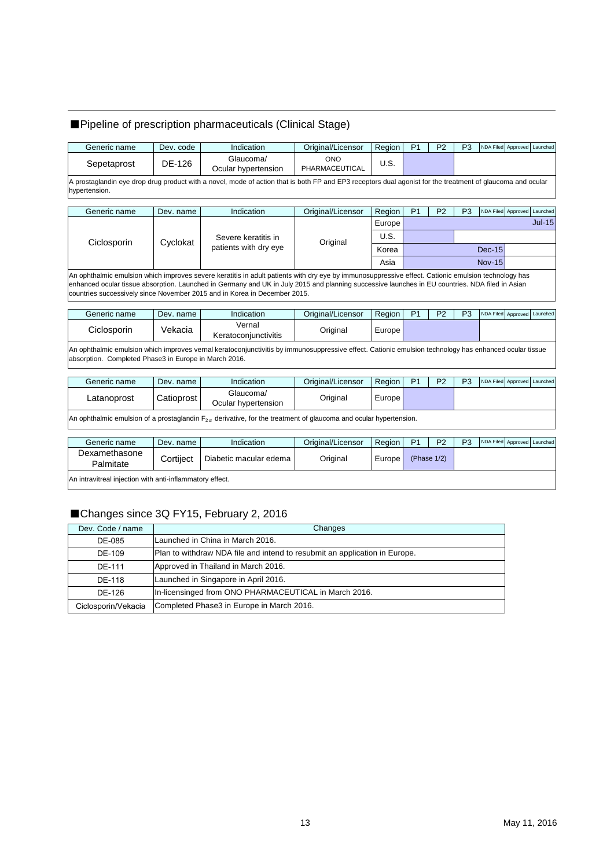## ■Pipeline of prescription pharmaceuticals (Clinical Stage)

| Generic name                                          | Dev. code  | Indication                                                                                                                                                                                                                                                                                                                                                                          | Original/Licensor            | Region | P <sub>1</sub> | P <sub>2</sub> | P <sub>3</sub> |               | NDA Filed Approved Launched |          |
|-------------------------------------------------------|------------|-------------------------------------------------------------------------------------------------------------------------------------------------------------------------------------------------------------------------------------------------------------------------------------------------------------------------------------------------------------------------------------|------------------------------|--------|----------------|----------------|----------------|---------------|-----------------------------|----------|
| Sepetaprost                                           | DE-126     | Glaucoma/<br>Ocular hypertension                                                                                                                                                                                                                                                                                                                                                    | <b>ONO</b><br>PHARMACEUTICAL | U.S.   |                |                |                |               |                             |          |
| hypertension.                                         |            | A prostaglandin eye drop drug product with a novel, mode of action that is both FP and EP3 receptors dual agonist for the treatment of glaucoma and ocular                                                                                                                                                                                                                          |                              |        |                |                |                |               |                             |          |
| Generic name                                          | Dev. name  | Indication                                                                                                                                                                                                                                                                                                                                                                          | Original/Licensor            | Region | P <sub>1</sub> | P <sub>2</sub> | P <sub>3</sub> |               | NDA Filed Approved          | Launched |
|                                                       |            |                                                                                                                                                                                                                                                                                                                                                                                     |                              | Europe |                |                |                |               |                             | $Jul-15$ |
| Ciclosporin                                           | Cyclokat   | Severe keratitis in                                                                                                                                                                                                                                                                                                                                                                 | Original                     | U.S.   |                |                |                |               |                             |          |
|                                                       |            | patients with dry eye                                                                                                                                                                                                                                                                                                                                                               | Korea                        |        |                |                |                | $Dec-15$      |                             |          |
|                                                       |            |                                                                                                                                                                                                                                                                                                                                                                                     |                              | Asia   |                |                |                | <b>Nov-15</b> |                             |          |
|                                                       |            | An ophthalmic emulsion which improves severe keratitis in adult patients with dry eye by immunosuppressive effect. Cationic emulsion technology has<br>enhanced ocular tissue absorption. Launched in Germany and UK in July 2015 and planning successive launches in EU countries. NDA filed in Asian<br>countries successively since November 2015 and in Korea in December 2015. |                              |        |                |                |                |               |                             |          |
| Generic name                                          | Dev. name  | Indication                                                                                                                                                                                                                                                                                                                                                                          | Original/Licensor            | Region | P <sub>1</sub> | P <sub>2</sub> | P <sub>3</sub> |               | NDA Filed Approved Launched |          |
| Ciclosporin                                           | Vekacia    | Vernal<br>Keratoconjunctivitis                                                                                                                                                                                                                                                                                                                                                      | Original                     | Europe |                |                |                |               |                             |          |
| absorption. Completed Phase3 in Europe in March 2016. |            | An ophthalmic emulsion which improves vernal keratoconjunctivitis by immunosuppressive effect. Cationic emulsion technology has enhanced ocular tissue                                                                                                                                                                                                                              |                              |        |                |                |                |               |                             |          |
| Generic name                                          | Dev. name  | Indication                                                                                                                                                                                                                                                                                                                                                                          | Original/Licensor            | Region | P <sub>1</sub> | P <sub>2</sub> | P <sub>3</sub> |               | NDA Filed Approved Launched |          |
| Latanoprost                                           | Catioprost | Glaucoma/<br>Ocular hypertension                                                                                                                                                                                                                                                                                                                                                    | Original                     | Europe |                |                |                |               |                             |          |

|                                                          |           | An ophthalmic emulsion of a prostaglandin $F_{2\alpha}$ derivative, for the treatment of glaucoma and ocular hypertension. |                   |        |                |                |                |  |                             |
|----------------------------------------------------------|-----------|----------------------------------------------------------------------------------------------------------------------------|-------------------|--------|----------------|----------------|----------------|--|-----------------------------|
| Generic name                                             | Dev. name | Indication                                                                                                                 | Original/Licensor | Region | P <sub>1</sub> | P <sub>2</sub> | P <sub>3</sub> |  | NDA Filed Approved Launched |
| Dexamethasone<br>Palmitate                               | Cortilect | Diabetic macular edema                                                                                                     | Original          | Europe |                | (Phase $1/2$ ) |                |  |                             |
| An intravitreal injection with anti-inflammatory effect. |           |                                                                                                                            |                   |        |                |                |                |  |                             |

## ■Changes since 3Q FY15, February 2, 2016

| Dev. Code / name    | Changes                                                                    |
|---------------------|----------------------------------------------------------------------------|
| DF-085              | Launched in China in March 2016.                                           |
| DE-109              | Plan to withdraw NDA file and intend to resubmit an application in Europe. |
| DF-111              | Approved in Thailand in March 2016.                                        |
| DE-118              | Launched in Singapore in April 2016.                                       |
| DF-126              | In-licensinged from ONO PHARMACEUTICAL in March 2016.                      |
| Ciclosporin/Vekacia | Completed Phase3 in Europe in March 2016.                                  |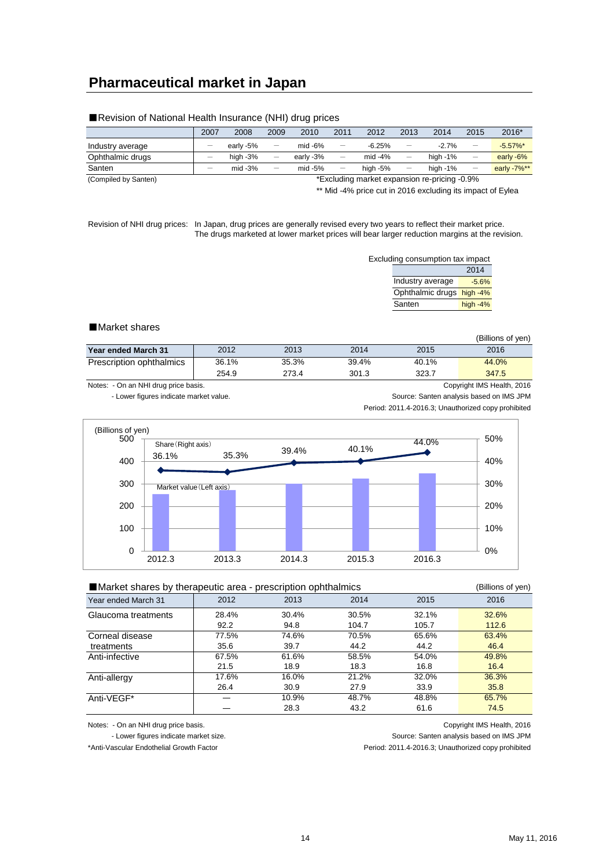## **Pharmaceutical market in Japan**

|                      | 2007 | 2008        | 2009                            | 2010      | 2011                     | 2012                                         | 2013                     | 2014        | 2015                     | 2016*       |
|----------------------|------|-------------|---------------------------------|-----------|--------------------------|----------------------------------------------|--------------------------|-------------|--------------------------|-------------|
| Industry average     |      | early -5%   | $\overline{\phantom{m}}$        | $mid -6%$ | $\qquad \qquad -$        | $-6.25%$                                     |                          | $-2.7%$     | $\overline{\phantom{0}}$ | $-5.57\%$ * |
| Ophthalmic drugs     |      | high $-3\%$ | $\qquad \qquad$                 | early -3% | $\qquad \qquad -$        | mid $-4%$                                    | $\overline{\phantom{0}}$ | high $-1\%$ | $\overline{\phantom{0}}$ | early -6%   |
| Santen               |      | $mid -3%$   | $\hspace{0.1mm}-\hspace{0.1mm}$ | $mid -5%$ | $\overline{\phantom{m}}$ | high $-5\%$                                  | $\overline{\phantom{m}}$ | high $-1\%$ |                          | early -7%** |
| (Compiled by Santen) |      |             |                                 |           |                          | *Excluding market expansion re-pricing -0.9% |                          |             |                          |             |

#### ■Revision of National Health Insurance (NHI) drug prices

\*\* Mid -4% price cut in 2016 excluding its impact of Eylea

Revision of NHI drug prices: In Japan, drug prices are generally revised every two years to reflect their market price. The drugs marketed at lower market prices will bear larger reduction margins at the revision.

| Excluding consumption tax impact |            |
|----------------------------------|------------|
|                                  | 2014       |
| Industry average                 | $-5.6%$    |
| Ophthalmic drugs high -4%        |            |
| Santen                           | high $-4%$ |

#### ■Market shares

|                          |       |       |       |       | (Billions of ven) |
|--------------------------|-------|-------|-------|-------|-------------------|
| Year ended March 31      | 2012  | 2013  | 2014  | 2015  | 2016              |
| Prescription ophthalmics | 36.1% | 35.3% | 39.4% | 40.1% | 44.0%             |
|                          | 254.9 | 273.4 | 301.3 | 323.7 | 347.5             |

Notes: - On an NHI drug price basis. Copyright IMS Health, 2016

- Lower figures indicate market value. Source: Santen analysis based on IMS JPM Period: 2011.4-2016.3; Unauthorized copy prohibited



| ■ Market shares by therapeutic area - prescription ophthalmics |       |       |       |       | (Billions of yen) |
|----------------------------------------------------------------|-------|-------|-------|-------|-------------------|
| Year ended March 31                                            | 2012  | 2013  | 2014  | 2015  | 2016              |
| Glaucoma treatments                                            | 28.4% | 30.4% | 30.5% | 32.1% | 32.6%             |
|                                                                | 92.2  | 94.8  | 104.7 | 105.7 | 112.6             |
| Corneal disease                                                | 77.5% | 74.6% | 70.5% | 65.6% | 63.4%             |
| treatments                                                     | 35.6  | 39.7  | 44.2  | 44.2  | 46.4              |
| Anti-infective                                                 | 67.5% | 61.6% | 58.5% | 54.0% | 49.8%             |
|                                                                | 21.5  | 18.9  | 18.3  | 16.8  | 16.4              |
| Anti-allergy                                                   | 17.6% | 16.0% | 21.2% | 32.0% | 36.3%             |
|                                                                | 26.4  | 30.9  | 27.9  | 33.9  | 35.8              |
| Anti-VEGF*                                                     |       | 10.9% | 48.7% | 48.8% | 65.7%             |
|                                                                |       | 28.3  | 43.2  | 61.6  | 74.5              |

Notes: - On an NHI drug price basis. Copyright IMS Health, 2016

- Lower figures indicate market size. Source: Santen analysis based on IMS JPM

\*Anti-Vascular Endothelial Growth Factor **Period:** 2011.4-2016.3; Unauthorized copy prohibited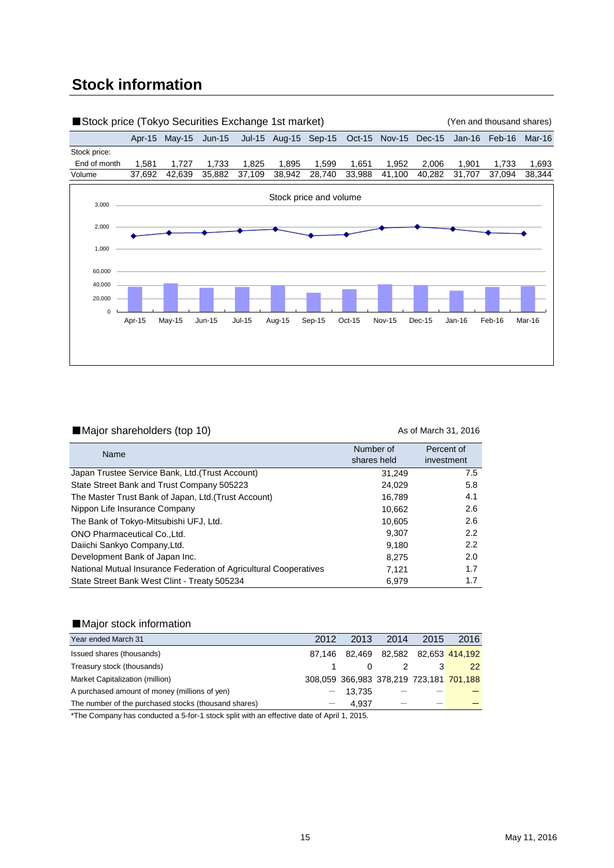# **Stock information**



#### ■Major shareholders (top 10) As of March 31, 2016

| Name                                                              | Number of<br>shares held | Percent of<br>investment |
|-------------------------------------------------------------------|--------------------------|--------------------------|
| Japan Trustee Service Bank, Ltd.(Trust Account)                   | 31.249                   | 7.5                      |
| State Street Bank and Trust Company 505223                        | 24.029                   | 5.8                      |
| The Master Trust Bank of Japan, Ltd. (Trust Account)              | 16.789                   | 4.1                      |
| Nippon Life Insurance Company                                     | 10,662                   | 2.6                      |
| The Bank of Tokyo-Mitsubishi UFJ, Ltd.                            | 10.605                   | 2.6                      |
| ONO Pharmaceutical Co., Ltd.                                      | 9.307                    | $2.2^{\circ}$            |
| Daiichi Sankyo Company, Ltd.                                      | 9.180                    | $2.2^{\circ}$            |
| Development Bank of Japan Inc.                                    | 8.275                    | 2.0                      |
| National Mutual Insurance Federation of Agricultural Cooperatives | 7.121                    | 1.7                      |
| State Street Bank West Clint - Treaty 505234                      | 6,979                    | 1.7                      |

### ■Major stock information

| Year ended March 31                                  | 2012 | 2013                                    | 2014 | 2015 | 2016 |
|------------------------------------------------------|------|-----------------------------------------|------|------|------|
| Issued shares (thousands)                            |      | 87,146 82,469 82,582 82,653 414,192     |      |      |      |
| Treasury stock (thousands)                           |      |                                         |      |      | 22   |
| Market Capitalization (million)                      |      | 308,059 366,983 378,219 723,181 701,188 |      |      |      |
| A purchased amount of money (millions of yen)        |      | $-13.735$                               |      |      |      |
| The number of the purchased stocks (thousand shares) |      | 4.937                                   |      |      |      |

\*The Company has conducted a 5-for-1 stock split with an effective date of April 1, 2015.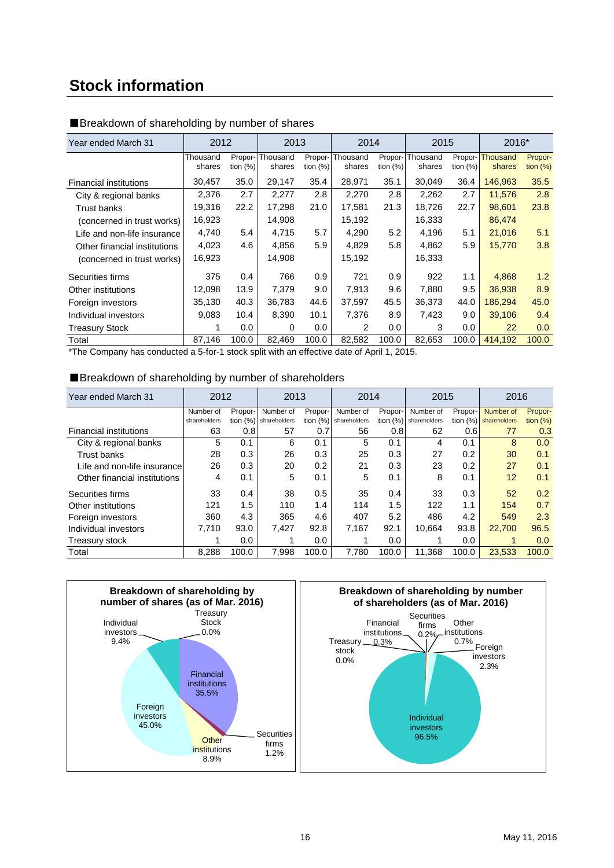# **Stock information**

| Year ended March 31           | 2012               |                        | 2013               |                        | 2014               |                        | 2015               |                        | 2016*                     |                        |
|-------------------------------|--------------------|------------------------|--------------------|------------------------|--------------------|------------------------|--------------------|------------------------|---------------------------|------------------------|
|                               | Thousand<br>shares | Propor-<br>tion $(\%)$ | Thousand<br>shares | Propor-<br>tion $(\%)$ | Thousand<br>shares | Propor-<br>tion $(\%)$ | Thousand<br>shares | Propor-<br>tion $(\%)$ | <b>Thousand</b><br>shares | Propor-<br>tion $(\%)$ |
| <b>Financial institutions</b> | 30,457             | 35.0                   | 29,147             | 35.4                   | 28,971             | 35.1                   | 30,049             | 36.4                   | 146,963                   | 35.5                   |
| City & regional banks         | 2,376              | 2.7                    | 2,277              | 2.8                    | 2,270              | 2.8                    | 2,262              | 2.7                    | 11,576                    | 2.8                    |
| <b>Trust banks</b>            | 19,316             | 22.2                   | 17,298             | 21.0                   | 17,581             | 21.3                   | 18,726             | 22.7                   | 98,601                    | 23.8                   |
| (concerned in trust works)    | 16,923             |                        | 14,908             |                        | 15,192             |                        | 16,333             |                        | 86,474                    |                        |
| Life and non-life insurance   | 4,740              | 5.4                    | 4,715              | 5.7                    | 4,290              | 5.2                    | 4,196              | 5.1                    | 21,016                    | 5.1                    |
| Other financial institutions  | 4,023              | 4.6                    | 4.856              | 5.9                    | 4.829              | 5.8                    | 4.862              | 5.9                    | 15,770                    | 3.8                    |
| (concerned in trust works)    | 16,923             |                        | 14,908             |                        | 15,192             |                        | 16,333             |                        |                           |                        |
| Securities firms              | 375                | 0.4                    | 766                | 0.9                    | 721                | 0.9                    | 922                | 1.1                    | 4.868                     | 1.2                    |
| Other institutions            | 12,098             | 13.9                   | 7,379              | 9.0                    | 7.913              | 9.6                    | 7.880              | 9.5                    | 36,938                    | 8.9                    |
| Foreign investors             | 35,130             | 40.3                   | 36,783             | 44.6                   | 37,597             | 45.5                   | 36,373             | 44.0                   | 186,294                   | 45.0                   |
| Individual investors          | 9,083              | 10.4                   | 8,390              | 10.1                   | 7,376              | 8.9                    | 7,423              | 9.0                    | 39,106                    | 9.4                    |
| <b>Treasury Stock</b>         |                    | 0.0                    | 0                  | 0.0                    | 2                  | 0.0                    | 3                  | 0.0                    | 22                        | 0.0                    |
| Total                         | 87,146             | 100.0                  | 82,469             | 100.0                  | 82,582             | 100.0                  | 82,653             | 100.0                  | 414,192                   | 100.0                  |

### ■Breakdown of shareholding by number of shares

\*The Company has conducted a 5-for-1 stock split with an effective date of April 1, 2015.

### ■Breakdown of shareholding by number of shareholders

| Year ended March 31           | 2012         |            | 2013         |         | 2014                    |            | 2015         |            | 2016         |            |
|-------------------------------|--------------|------------|--------------|---------|-------------------------|------------|--------------|------------|--------------|------------|
|                               | Number of    | Propor-    | Number of    | Propor- | Number of               | Propor-    | Number of    | Propor-    | Number of    | Propor-    |
|                               | shareholders | tion $(%)$ | shareholders |         | tion $(%)$ shareholders | tion $(%)$ | shareholders | tion $(%)$ | shareholders | tion $(%)$ |
| <b>Financial institutions</b> | 63           | 0.8        | 57           | 0.7     | 56                      | 0.8        | 62           | 0.6        | 77           | 0.3        |
| City & regional banks         | 5            | 0.1        | 6            | 0.1     | 5                       | 0.1        | 4            | 0.1        | 8            | 0.0        |
| Trust banks                   | 28           | 0.3        | 26           | 0.3     | 25                      | 0.3        | 27           | 0.2        | 30           | 0.1        |
| Life and non-life insurance   | 26           | 0.3        | 20           | 0.2     | 21                      | 0.3        | 23           | 0.2        | 27           | 0.1        |
| Other financial institutions  | 4            | 0.1        | 5            | 0.1     | 5                       | 0.1        | 8            | 0.1        | 12           | 0.1        |
| Securities firms              | 33           | 0.4        | 38           | 0.5     | 35                      | 0.4        | 33           | 0.3        | 52           | 0.2        |
| Other institutions            | 121          | 1.5        | 110          | 1.4     | 114                     | 1.5        | 122          | 1.1        | 154          | 0.7        |
| Foreign investors             | 360          | 4.3        | 365          | 4.6     | 407                     | 5.2        | 486          | 4.2        | 549          | 2.3        |
| Individual investors          | 7.710        | 93.0       | 7,427        | 92.8    | 7.167                   | 92.1       | 10.664       | 93.8       | 22,700       | 96.5       |
| Treasury stock                |              | 0.0        | 1            | 0.0     |                         | 0.0        |              | 0.0        | 1            | 0.0        |
| Total                         | 8.288        | 100.0      | 7,998        | 100.0   | 7,780                   | 100.0      | 11,368       | 100.0      | 23,533       | 100.0      |

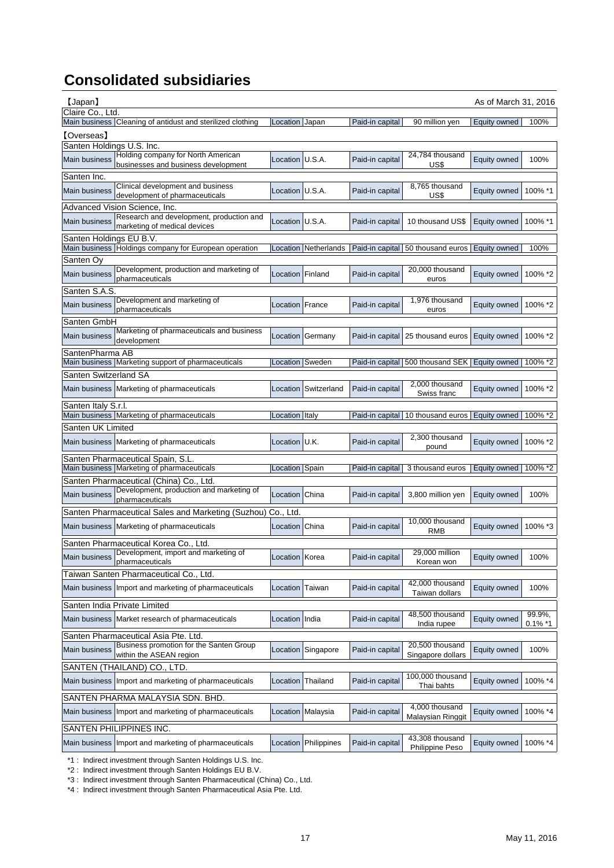# **Consolidated subsidiaries**

| 【Japan】                                                                                          |                        |                      |                 |                                                    | As of March 31, 2016 |            |
|--------------------------------------------------------------------------------------------------|------------------------|----------------------|-----------------|----------------------------------------------------|----------------------|------------|
| Claire Co., Ltd.                                                                                 |                        |                      |                 |                                                    |                      |            |
| Main business Cleaning of antidust and sterilized clothing                                       | Location Japan         |                      | Paid-in capital | 90 million yen                                     | Equity owned         | 100%       |
| <b>[Overseas]</b>                                                                                |                        |                      |                 |                                                    |                      |            |
| Santen Holdings U.S. Inc.<br>Holding company for North American                                  |                        |                      |                 | 24.784 thousand                                    |                      |            |
| <b>Main business</b><br>businesses and business development                                      | Location U.S.A.        |                      | Paid-in capital | US\$                                               | Equity owned         | 100%       |
| Santen Inc.                                                                                      |                        |                      |                 |                                                    |                      |            |
| Clinical development and business<br>Main business                                               | Location U.S.A.        |                      | Paid-in capital | 8,765 thousand                                     | Equity owned         | 100% *1    |
| development of pharmaceuticals                                                                   |                        |                      |                 | US\$                                               |                      |            |
| Advanced Vision Science, Inc.                                                                    |                        |                      |                 |                                                    |                      |            |
| Research and development, production and<br><b>Main business</b><br>marketing of medical devices | Location U.S.A.        |                      | Paid-in capital | 10 thousand US\$                                   | Equity owned         | 100% *1    |
| Santen Holdings EU B.V.                                                                          |                        |                      |                 |                                                    |                      |            |
| Main business Holdings company for European operation                                            |                        | Location Netherlands |                 | Paid-in capital 50 thousand euros Equity owned     |                      | 100%       |
| Santen Oy                                                                                        |                        |                      |                 |                                                    |                      |            |
| Development, production and marketing of<br>Main business                                        | Location Finland       |                      | Paid-in capital | 20,000 thousand                                    | Equity owned         | 100% *2    |
| pharmaceuticals                                                                                  |                        |                      |                 | euros                                              |                      |            |
| Santen S.A.S.                                                                                    |                        |                      |                 |                                                    |                      |            |
| Development and marketing of<br>Main business                                                    | <b>Location France</b> |                      | Paid-in capital | 1,976 thousand                                     | Equity owned         | 100% *2    |
| pharmaceuticals                                                                                  |                        |                      |                 | euros                                              |                      |            |
| Santen GmbH<br>Marketing of pharmaceuticals and business                                         |                        |                      |                 |                                                    |                      |            |
| Main business<br>development                                                                     |                        | Location Germany     |                 | Paid-in capital 25 thousand euros                  | Equity owned         | 100% *2    |
| SantenPharma AB                                                                                  |                        |                      |                 |                                                    |                      |            |
| Main business Marketing support of pharmaceuticals                                               |                        | Location Sweden      |                 | Paid-in capital 500 thousand SEK Equity owned      |                      | 100% *2    |
| Santen Switzerland SA                                                                            |                        |                      |                 |                                                    |                      |            |
| Main business Marketing of pharmaceuticals                                                       |                        | Location Switzerland | Paid-in capital | 2,000 thousand                                     | Equity owned         | 100% *2    |
|                                                                                                  |                        |                      |                 | Swiss franc                                        |                      |            |
| Santen Italy S.r.l.<br>Main business Marketing of pharmaceuticals                                |                        |                      |                 |                                                    |                      |            |
|                                                                                                  | Location Italy         |                      |                 | Paid-in capital   10 thousand euros   Equity owned |                      | 100% *2    |
|                                                                                                  |                        |                      |                 |                                                    |                      |            |
| Santen UK Limited                                                                                |                        |                      |                 |                                                    |                      |            |
| Main business Marketing of pharmaceuticals                                                       | Location U.K.          |                      | Paid-in capital | 2,300 thousand<br>pound                            | Equity owned         | 100% *2    |
| Santen Pharmaceutical Spain, S.L.                                                                |                        |                      |                 |                                                    |                      |            |
| Main business Marketing of pharmaceuticals                                                       | Location Spain         |                      | Paid-in capital | 3 thousand euros                                   | Equity owned         | 100% *2    |
| Santen Pharmaceutical (China) Co., Ltd.                                                          |                        |                      |                 |                                                    |                      |            |
| Development, production and marketing of<br><b>Main business</b>                                 | Location China         |                      | Paid-in capital | 3,800 million yen                                  | Equity owned         | 100%       |
| pharmaceuticals                                                                                  |                        |                      |                 |                                                    |                      |            |
| Santen Pharmaceutical Sales and Marketing (Suzhou)                                               | Co., Ltd.              |                      |                 |                                                    |                      |            |
| Main business Marketing of pharmaceuticals                                                       | Location China         |                      | Paid-in capital | 10,000 thousand<br><b>RMB</b>                      | Equity owned         | 100% *3    |
|                                                                                                  |                        |                      |                 |                                                    |                      |            |
| Santen Pharmaceutical Korea Co., Ltd.<br>Development, import and marketing of                    |                        |                      |                 | 29.000 million                                     |                      |            |
| Main business<br>pharmaceuticals                                                                 | Location Korea         |                      | Paid-in capital | Korean won                                         | Equity owned         | 100%       |
| Taiwan Santen Pharmaceutical Co., Ltd.                                                           |                        |                      |                 |                                                    |                      |            |
| Main business Import and marketing of pharmaceuticals                                            | Location               | Taiwan               | Paid-in capital | 42,000 thousand                                    | Equity owned         | 100%       |
|                                                                                                  |                        |                      |                 | Taiwan dollars                                     |                      |            |
| Santen India Private Limited                                                                     |                        |                      |                 |                                                    |                      |            |
| Main business Market research of pharmaceuticals                                                 | Location India         |                      | Paid-in capital | 48,500 thousand<br>India rupee                     | Equity owned         | 99.9%,     |
|                                                                                                  |                        |                      |                 |                                                    |                      | $0.1\%$ *1 |
| Santen Pharmaceutical Asia Pte. Ltd.<br>Business promotion for the Santen Group                  |                        |                      |                 | 20,500 thousand                                    |                      |            |
| Main business<br>within the ASEAN region                                                         |                        | Location Singapore   | Paid-in capital | Singapore dollars                                  | Equity owned         | 100%       |
| SANTEN (THAILAND) CO., LTD.                                                                      |                        |                      |                 |                                                    |                      |            |
| Main business Import and marketing of pharmaceuticals                                            | Location               | Thailand             | Paid-in capital | 100,000 thousand<br>Thai bahts                     | Equity owned         | 100% *4    |
| SANTEN PHARMA MALAYSIA SDN. BHD.                                                                 |                        |                      |                 |                                                    |                      |            |
| Main business Import and marketing of pharmaceuticals                                            |                        | Location Malaysia    | Paid-in capital | 4,000 thousand                                     | Equity owned         | 100% *4    |
|                                                                                                  |                        |                      |                 | Malaysian Ringgit                                  |                      |            |
| SANTEN PHILIPPINES INC.<br>Main business Import and marketing of pharmaceuticals                 | Location               | Philippines          | Paid-in capital | 43,308 thousand                                    | Equity owned         | 100% *4    |

\*1 : Indirect investment through Santen Holdings U.S. Inc.

\*2 : Indirect investment through Santen Holdings EU B.V.

\*3 : Indirect investment through Santen Pharmaceutical (China) Co., Ltd.

\*4 : Indirect investment through Santen Pharmaceutical Asia Pte. Ltd.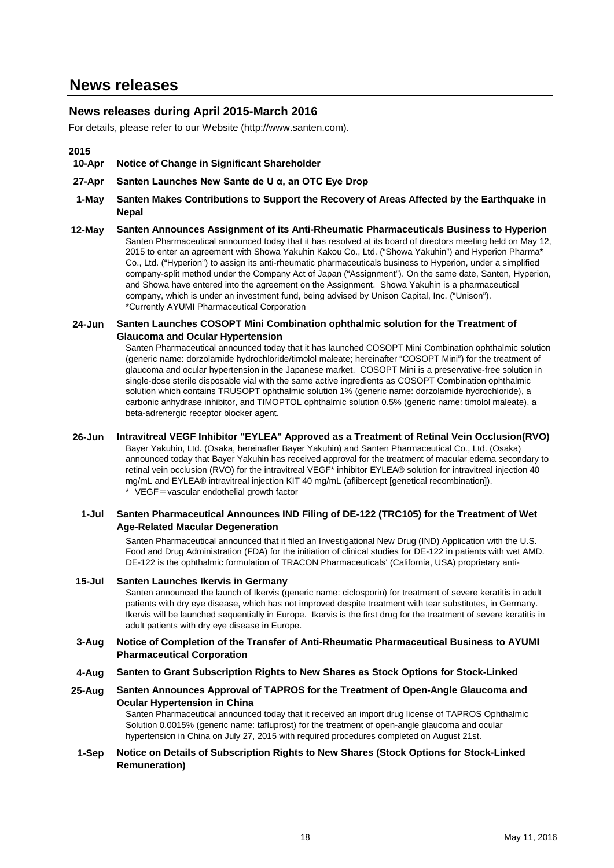## **News releases during April 2015-March 2016**

For details, please refer to our Website (http://www.santen.com).

### **2015**

- **10-Apr Notice of Change in Significant Shareholder**
- **27-Apr Santen Launches New Sante de U α, an OTC Eye Drop**
- **1-May Santen Makes Contributions to Support the Recovery of Areas Affected by the Earthquake in Nepal**
- **12-May Santen Announces Assignment of its Anti-Rheumatic Pharmaceuticals Business to Hyperion** Santen Pharmaceutical announced today that it has resolved at its board of directors meeting held on May 12, 2015 to enter an agreement with Showa Yakuhin Kakou Co., Ltd. ("Showa Yakuhin") and Hyperion Pharma\* Co., Ltd. ("Hyperion") to assign its anti-rheumatic pharmaceuticals business to Hyperion, under a simplified company-split method under the Company Act of Japan ("Assignment"). On the same date, Santen, Hyperion, and Showa have entered into the agreement on the Assignment. Showa Yakuhin is a pharmaceutical company, which is under an investment fund, being advised by Unison Capital, Inc. ("Unison"). \*Currently AYUMI Pharmaceutical Corporation

#### **24-Jun Santen Launches COSOPT Mini Combination ophthalmic solution for the Treatment of Glaucoma and Ocular Hypertension**

Santen Pharmaceutical announced today that it has launched COSOPT Mini Combination ophthalmic solution (generic name: dorzolamide hydrochloride/timolol maleate; hereinafter "COSOPT Mini") for the treatment of glaucoma and ocular hypertension in the Japanese market. COSOPT Mini is a preservative-free solution in single-dose sterile disposable vial with the same active ingredients as COSOPT Combination ophthalmic solution which contains TRUSOPT ophthalmic solution 1% (generic name: dorzolamide hydrochloride), a carbonic anhydrase inhibitor, and TIMOPTOL ophthalmic solution 0.5% (generic name: timolol maleate), a beta-adrenergic receptor blocker agent.

**26-Jun Intravitreal VEGF Inhibitor "EYLEA" Approved as a Treatment of Retinal Vein Occlusion(RVO)** Bayer Yakuhin, Ltd. (Osaka, hereinafter Bayer Yakuhin) and Santen Pharmaceutical Co., Ltd. (Osaka) announced today that Bayer Yakuhin has received approval for the treatment of macular edema secondary to retinal vein occlusion (RVO) for the intravitreal VEGF\* inhibitor EYLEA® solution for intravitreal injection 40 mg/mL and EYLEA® intravitreal injection KIT 40 mg/mL (aflibercept [genetical recombination]). \* VEGF=vascular endothelial growth factor

### **1-Jul Santen Pharmaceutical Announces IND Filing of DE-122 (TRC105) for the Treatment of Wet Age-Related Macular Degeneration**

Santen Pharmaceutical announced that it filed an Investigational New Drug (IND) Application with the U.S. Food and Drug Administration (FDA) for the initiation of clinical studies for DE-122 in patients with wet AMD. DE-122 is the ophthalmic formulation of TRACON Pharmaceuticals' (California, USA) proprietary anti-

#### **15-Jul Santen Launches Ikervis in Germany**

Santen announced the launch of Ikervis (generic name: ciclosporin) for treatment of severe keratitis in adult patients with dry eye disease, which has not improved despite treatment with tear substitutes, in Germany. Ikervis will be launched sequentially in Europe. Ikervis is the first drug for the treatment of severe keratitis in adult patients with dry eye disease in Europe.

#### **3-Aug Notice of Completion of the Transfer of Anti-Rheumatic Pharmaceutical Business to AYUMI Pharmaceutical Corporation**

- **4-Aug Santen to Grant Subscription Rights to New Shares as Stock Options for Stock-Linked**
- **25-Aug Santen Announces Approval of TAPROS for the Treatment of Open-Angle Glaucoma and Ocular Hypertension in China**

Santen Pharmaceutical announced today that it received an import drug license of TAPROS Ophthalmic Solution 0.0015% (generic name: tafluprost) for the treatment of open-angle glaucoma and ocular hypertension in China on July 27, 2015 with required procedures completed on August 21st.

#### **1-Sep Notice on Details of Subscription Rights to New Shares (Stock Options for Stock-Linked Remuneration)**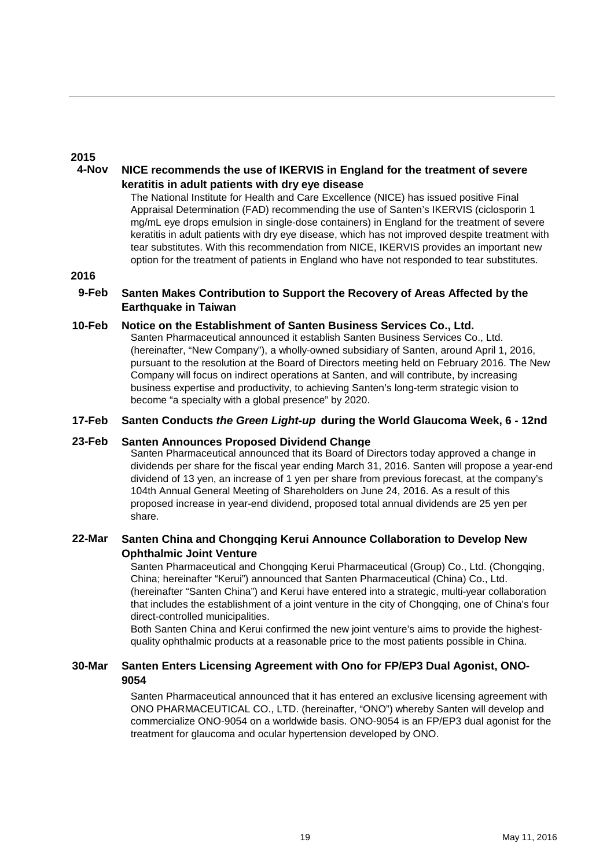## **2015**

#### **4-Nov NICE recommends the use of IKERVIS in England for the treatment of severe keratitis in adult patients with dry eye disease**

The National Institute for Health and Care Excellence (NICE) has issued positive Final Appraisal Determination (FAD) recommending the use of Santen's IKERVIS (ciclosporin 1 mg/mL eye drops emulsion in single-dose containers) in England for the treatment of severe keratitis in adult patients with dry eye disease, which has not improved despite treatment with tear substitutes. With this recommendation from NICE, IKERVIS provides an important new option for the treatment of patients in England who have not responded to tear substitutes.

### **2016**

#### **9-Feb Santen Makes Contribution to Support the Recovery of Areas Affected by the Earthquake in Taiwan**

#### **10-Feb Notice on the Establishment of Santen Business Services Co., Ltd.**

Santen Pharmaceutical announced it establish Santen Business Services Co., Ltd. (hereinafter, "New Company"), a wholly-owned subsidiary of Santen, around April 1, 2016, pursuant to the resolution at the Board of Directors meeting held on February 2016. The New Company will focus on indirect operations at Santen, and will contribute, by increasing business expertise and productivity, to achieving Santen's long-term strategic vision to become "a specialty with a global presence" by 2020.

#### **17-Feb Santen Conducts** *the Green Light-up* **during the World Glaucoma Week, 6 - 12nd**

#### **23-Feb Santen Announces Proposed Dividend Change**

Santen Pharmaceutical announced that its Board of Directors today approved a change in dividends per share for the fiscal year ending March 31, 2016. Santen will propose a year-end dividend of 13 yen, an increase of 1 yen per share from previous forecast, at the company's 104th Annual General Meeting of Shareholders on June 24, 2016. As a result of this proposed increase in year-end dividend, proposed total annual dividends are 25 yen per share.

#### **22-Mar Santen China and Chongqing Kerui Announce Collaboration to Develop New Ophthalmic Joint Venture**

Santen Pharmaceutical and Chongqing Kerui Pharmaceutical (Group) Co., Ltd. (Chongqing, China; hereinafter "Kerui") announced that Santen Pharmaceutical (China) Co., Ltd. (hereinafter "Santen China") and Kerui have entered into a strategic, multi-year collaboration that includes the establishment of a joint venture in the city of Chongqing, one of China's four direct-controlled municipalities.

Both Santen China and Kerui confirmed the new joint venture's aims to provide the highestquality ophthalmic products at a reasonable price to the most patients possible in China.

#### **30-Mar Santen Enters Licensing Agreement with Ono for FP/EP3 Dual Agonist, ONO-9054**

Santen Pharmaceutical announced that it has entered an exclusive licensing agreement with ONO PHARMACEUTICAL CO., LTD. (hereinafter, "ONO") whereby Santen will develop and commercialize ONO-9054 on a worldwide basis. ONO-9054 is an FP/EP3 dual agonist for the treatment for glaucoma and ocular hypertension developed by ONO.